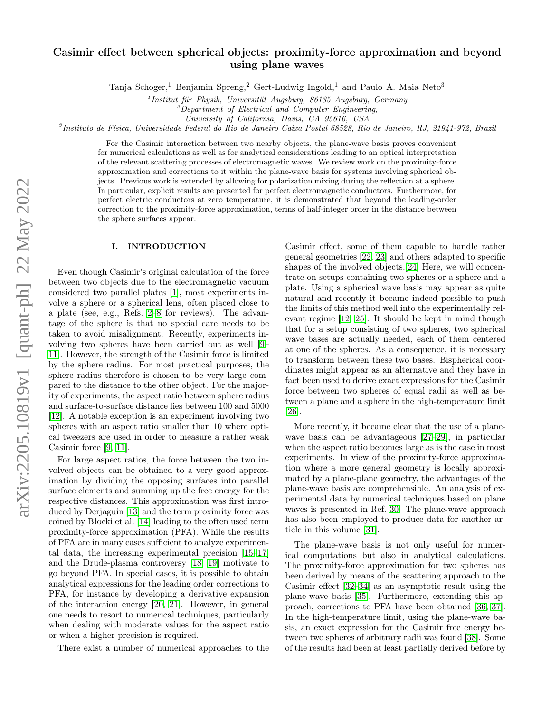# Casimir effect between spherical objects: proximity-force approximation and beyond using plane waves

Tanja Schoger,<sup>1</sup> Benjamin Spreng,<sup>2</sup> Gert-Ludwig Ingold,<sup>1</sup> and Paulo A. Maia Neto<sup>3</sup>

<sup>1</sup> Institut für Physik, Universität Augsburg, 86135 Augsburg, Germany

 $2Department$  of Electrical and Computer Engineering,

University of California, Davis, CA 95616, USA

3 Instituto de Física, Universidade Federal do Rio de Janeiro Caixa Postal 68528, Rio de Janeiro, RJ, 21941-972, Brazil

For the Casimir interaction between two nearby objects, the plane-wave basis proves convenient for numerical calculations as well as for analytical considerations leading to an optical interpretation of the relevant scattering processes of electromagnetic waves. We review work on the proximity-force approximation and corrections to it within the plane-wave basis for systems involving spherical objects. Previous work is extended by allowing for polarization mixing during the reflection at a sphere. In particular, explicit results are presented for perfect electromagnetic conductors. Furthermore, for perfect electric conductors at zero temperature, it is demonstrated that beyond the leading-order correction to the proximity-force approximation, terms of half-integer order in the distance between the sphere surfaces appear.

# I. INTRODUCTION

Even though Casimir's original calculation of the force between two objects due to the electromagnetic vacuum considered two parallel plates [\[1\]](#page-13-0), most experiments involve a sphere or a spherical lens, often placed close to a plate (see, e.g., Refs. [2–](#page-13-1)[8](#page-13-2) for reviews). The advantage of the sphere is that no special care needs to be taken to avoid misalignment. Recently, experiments involving two spheres have been carried out as well [\[9–](#page-13-3) [11\]](#page-13-4). However, the strength of the Casimir force is limited by the sphere radius. For most practical purposes, the sphere radius therefore is chosen to be very large compared to the distance to the other object. For the majority of experiments, the aspect ratio between sphere radius and surface-to-surface distance lies between 100 and 5000 [\[12\]](#page-13-5). A notable exception is an experiment involving two spheres with an aspect ratio smaller than 10 where optical tweezers are used in order to measure a rather weak Casimir force [\[9,](#page-13-3) [11\]](#page-13-4).

For large aspect ratios, the force between the two involved objects can be obtained to a very good approximation by dividing the opposing surfaces into parallel surface elements and summing up the free energy for the respective distances. This approximation was first introduced by Derjaguin [\[13\]](#page-13-6) and the term proximity force was coined by Błocki et al. [\[14\]](#page-13-7) leading to the often used term proximity-force approximation (PFA). While the results of PFA are in many cases sufficient to analyze experimental data, the increasing experimental precision [\[15](#page-13-8)[–17\]](#page-13-9) and the Drude-plasma controversy [\[18,](#page-13-10) [19\]](#page-13-11) motivate to go beyond PFA. In special cases, it is possible to obtain analytical expressions for the leading order corrections to PFA, for instance by developing a derivative expansion of the interaction energy [\[20,](#page-13-12) [21\]](#page-13-13). However, in general one needs to resort to numerical techniques, particularly when dealing with moderate values for the aspect ratio or when a higher precision is required.

There exist a number of numerical approaches to the

Casimir effect, some of them capable to handle rather general geometries [\[22,](#page-13-14) [23\]](#page-13-15) and others adapted to specific shapes of the involved objects.[\[24\]](#page-13-16) Here, we will concentrate on setups containing two spheres or a sphere and a plate. Using a spherical wave basis may appear as quite natural and recently it became indeed possible to push the limits of this method well into the experimentally relevant regime [\[12,](#page-13-5) [25\]](#page-13-17). It should be kept in mind though that for a setup consisting of two spheres, two spherical wave bases are actually needed, each of them centered at one of the spheres. As a consequence, it is necessary to transform between these two bases. Bispherical coordinates might appear as an alternative and they have in fact been used to derive exact expressions for the Casimir force between two spheres of equal radii as well as between a plane and a sphere in the high-temperature limit [\[26\]](#page-13-18).

More recently, it became clear that the use of a planewave basis can be advantageous [\[27](#page-13-19)[–29\]](#page-13-20), in particular when the aspect ratio becomes large as is the case in most experiments. In view of the proximity-force approximation where a more general geometry is locally approximated by a plane-plane geometry, the advantages of the plane-wave basis are comprehensible. An analysis of experimental data by numerical techniques based on plane waves is presented in Ref. [30.](#page-13-21) The plane-wave approach has also been employed to produce data for another article in this volume [\[31\]](#page-13-22).

The plane-wave basis is not only useful for numerical computations but also in analytical calculations. The proximity-force approximation for two spheres has been derived by means of the scattering approach to the Casimir effect [\[32–](#page-13-23)[34\]](#page-13-24) as an asymptotic result using the plane-wave basis [\[35\]](#page-13-25). Furthermore, extending this approach, corrections to PFA have been obtained [\[36,](#page-13-26) [37\]](#page-13-27). In the high-temperature limit, using the plane-wave basis, an exact expression for the Casimir free energy between two spheres of arbitrary radii was found [\[38\]](#page-13-28). Some of the results had been at least partially derived before by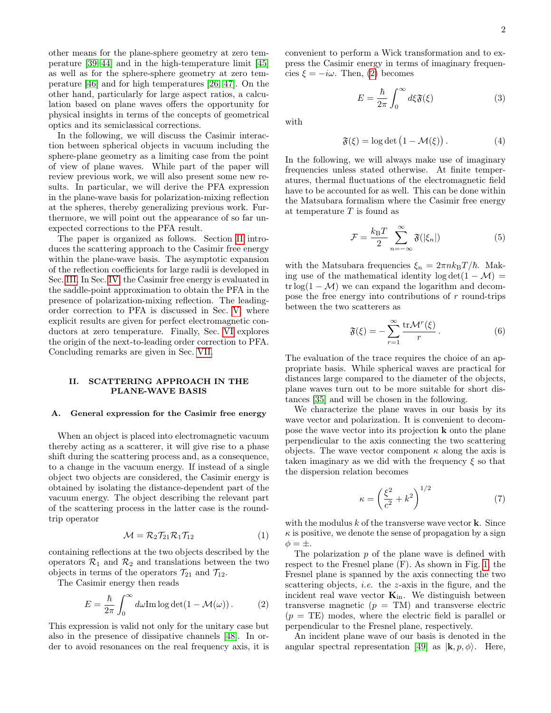other means for the plane-sphere geometry at zero temperature [\[39–](#page-13-29)[44\]](#page-13-30) and in the high-temperature limit [\[45\]](#page-13-31) as well as for the sphere-sphere geometry at zero temperature [\[46\]](#page-13-32) and for high temperatures [\[26,](#page-13-18) [47\]](#page-14-0). On the other hand, particularly for large aspect ratios, a calculation based on plane waves offers the opportunity for physical insights in terms of the concepts of geometrical optics and its semiclassical corrections.

In the following, we will discuss the Casimir interaction between spherical objects in vacuum including the sphere-plane geometry as a limiting case from the point of view of plane waves. While part of the paper will review previous work, we will also present some new results. In particular, we will derive the PFA expression in the plane-wave basis for polarization-mixing reflection at the spheres, thereby generalizing previous work. Furthermore, we will point out the appearance of so far unexpected corrections to the PFA result.

The paper is organized as follows. Section [II](#page-1-0) introduces the scattering approach to the Casimir free energy within the plane-wave basis. The asymptotic expansion of the reflection coefficients for large radii is developed in Sec. [III.](#page-3-0) In Sec. [IV,](#page-5-0) the Casimir free energy is evaluated in the saddle-point approximation to obtain the PFA in the presence of polarization-mixing reflection. The leadingorder correction to PFA is discussed in Sec. [V,](#page-8-0) where explicit results are given for perfect electromagnetic conductors at zero temperature. Finally, Sec. [VI](#page-10-0) explores the origin of the next-to-leading order correction to PFA. Concluding remarks are given in Sec. [VII.](#page-12-0)

# <span id="page-1-0"></span>II. SCATTERING APPROACH IN THE PLANE-WAVE BASIS

### A. General expression for the Casimir free energy

When an object is placed into electromagnetic vacuum thereby acting as a scatterer, it will give rise to a phase shift during the scattering process and, as a consequence, to a change in the vacuum energy. If instead of a single object two objects are considered, the Casimir energy is obtained by isolating the distance-dependent part of the vacuum energy. The object describing the relevant part of the scattering process in the latter case is the roundtrip operator

<span id="page-1-4"></span>
$$
\mathcal{M} = \mathcal{R}_2 \mathcal{T}_{21} \mathcal{R}_1 \mathcal{T}_{12} \tag{1}
$$

containing reflections at the two objects described by the operators  $\mathcal{R}_1$  and  $\mathcal{R}_2$  and translations between the two objects in terms of the operators  $\mathcal{T}_{21}$  and  $\mathcal{T}_{12}$ .

The Casimir energy then reads

<span id="page-1-1"></span>
$$
E = \frac{\hbar}{2\pi} \int_0^\infty d\omega \text{Im} \log \det(1 - \mathcal{M}(\omega)).
$$
 (2)

This expression is valid not only for the unitary case but also in the presence of dissipative channels [\[48\]](#page-14-1). In order to avoid resonances on the real frequency axis, it is convenient to perform a Wick transformation and to express the Casimir energy in terms of imaginary frequencies  $\xi = -i\omega$ . Then, [\(2\)](#page-1-1) becomes

<span id="page-1-5"></span>
$$
E = \frac{\hbar}{2\pi} \int_0^\infty d\xi \mathfrak{F}(\xi) \tag{3}
$$

with

$$
\mathfrak{F}(\xi) = \log \det \left( 1 - \mathcal{M}(\xi) \right). \tag{4}
$$

In the following, we will always make use of imaginary frequencies unless stated otherwise. At finite temperatures, thermal fluctuations of the electromagnetic field have to be accounted for as well. This can be done within the Matsubara formalism where the Casimir free energy at temperature  $T$  is found as

<span id="page-1-6"></span>
$$
\mathcal{F} = \frac{k_{\rm B}T}{2} \sum_{n=-\infty}^{\infty} \mathfrak{F}(|\xi_n|) \tag{5}
$$

with the Matsubara frequencies  $\xi_n = 2\pi n k_B T/\hbar$ . Making use of the mathematical identity  $log det(1 - M)$  = trlog(1 –  $\mathcal{M}$ ) we can expand the logarithm and decompose the free energy into contributions of  $r$  round-trips between the two scatterers as

<span id="page-1-3"></span>
$$
\mathfrak{F}(\xi) = -\sum_{r=1}^{\infty} \frac{\text{tr}\mathcal{M}^r(\xi)}{r} \,. \tag{6}
$$

The evaluation of the trace requires the choice of an appropriate basis. While spherical waves are practical for distances large compared to the diameter of the objects, plane waves turn out to be more suitable for short distances [\[35\]](#page-13-25) and will be chosen in the following.

We characterize the plane waves in our basis by its wave vector and polarization. It is convenient to decompose the wave vector into its projection k onto the plane perpendicular to the axis connecting the two scattering objects. The wave vector component  $\kappa$  along the axis is taken imaginary as we did with the frequency  $\xi$  so that the dispersion relation becomes

<span id="page-1-2"></span>
$$
\kappa = \left(\frac{\xi^2}{c^2} + k^2\right)^{1/2} \tag{7}
$$

with the modulus  $k$  of the transverse wave vector **k**. Since  $\kappa$  is positive, we denote the sense of propagation by a sign  $\phi = \pm$ .

The polarization  $p$  of the plane wave is defined with respect to the Fresnel plane (F). As shown in Fig. [1,](#page-2-0) the Fresnel plane is spanned by the axis connecting the two scattering objects, *i.e.* the  $z$ -axis in the figure, and the incident real wave vector  $\mathbf{K}_{in}$ . We distinguish between transverse magnetic  $(p = TM)$  and transverse electric  $(p = TE)$  modes, where the electric field is parallel or perpendicular to the Fresnel plane, respectively.

An incident plane wave of our basis is denoted in the angular spectral representation [\[49\]](#page-14-2) as  $|\mathbf{k}, p, \phi\rangle$ . Here,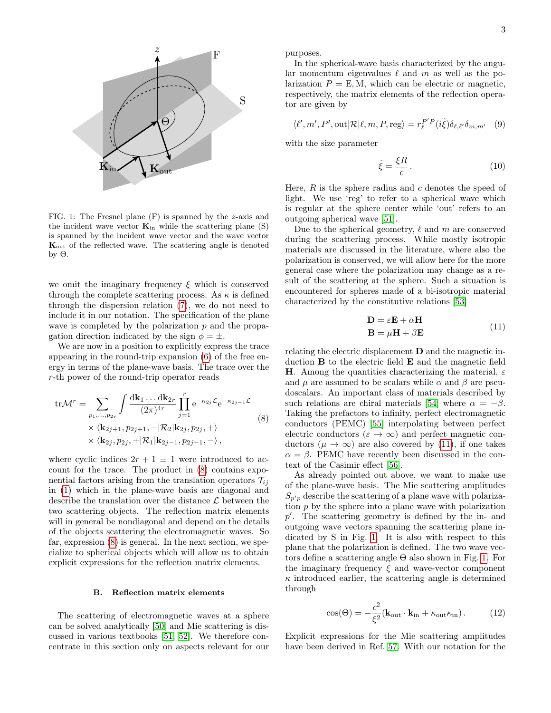

<span id="page-2-0"></span>FIG. 1: The Fresnel plane (F) is spanned by the z-axis and the incident wave vector  $\mathbf{K}_{in}$  while the scattering plane (S) is spanned by the incident wave vector and the wave vector Kout of the reflected wave. The scattering angle is denoted by Θ.

we omit the imaginary frequency  $\xi$  which is conserved through the complete scattering process. As  $\kappa$  is defined through the dispersion relation [\(7\)](#page-1-2), we do not need to include it in our notation. The specification of the plane wave is completed by the polarization  $p$  and the propagation direction indicated by the sign  $\phi = \pm$ .

We are now in a position to explicitly express the trace appearing in the round-trip expansion [\(6\)](#page-1-3) of the free energy in terms of the plane-wave basis. The trace over the r-th power of the round-trip operator reads

<span id="page-2-1"></span>
$$
\text{tr}\mathcal{M}^r = \sum_{p_1,\dots,p_{2r}} \int \frac{\text{d}\mathbf{k}_1 \dots \text{d}\mathbf{k}_{2r}}{(2\pi)^{4r}} \prod_{j=1}^r e^{-\kappa_{2j}\mathcal{L}} e^{-\kappa_{2j-1}\mathcal{L}}
$$
  
 
$$
\times \langle \mathbf{k}_{2j+1}, p_{2j+1}, -|\mathcal{R}_2| \mathbf{k}_{2j}, p_{2j}, + \rangle
$$
  
 
$$
\times \langle \mathbf{k}_{2j}, p_{2j}, +|\mathcal{R}_1| \mathbf{k}_{2j-1}, p_{2j-1}, - \rangle,
$$
 (8)

where cyclic indices  $2r + 1 \equiv 1$  were introduced to account for the trace. The product in [\(8\)](#page-2-1) contains exponential factors arising from the translation operators  $\mathcal{T}_{ij}$ in [\(1\)](#page-1-4) which in the plane-wave basis are diagonal and describe the translation over the distance  $\mathcal L$  between the two scattering objects. The reflection matrix elements will in general be nondiagonal and depend on the details of the objects scattering the electromagnetic waves. So far, expression [\(8\)](#page-2-1) is general. In the next section, we specialize to spherical objects which will allow us to obtain explicit expressions for the reflection matrix elements.

### B. Reflection matrix elements

The scattering of electromagnetic waves at a sphere can be solved analytically [\[50\]](#page-14-3) and Mie scattering is discussed in various textbooks [\[51,](#page-14-4) [52\]](#page-14-5). We therefore concentrate in this section only on aspects relevant for our purposes.

In the spherical-wave basis characterized by the angular momentum eigenvalues  $\ell$  and m as well as the polarization  $P = E$ , M, which can be electric or magnetic, respectively, the matrix elements of the reflection operator are given by

<span id="page-2-3"></span>
$$
\langle \ell', m', P', \text{out} | \mathcal{R} | \ell, m, P, \text{reg} \rangle = r_{\ell}^{P'P} (i\tilde{\xi}) \delta_{\ell, \ell'} \delta_{m, m'} \quad (9)
$$

with the size parameter

<span id="page-2-4"></span>
$$
\tilde{\xi} = \frac{\xi R}{c} \,. \tag{10}
$$

Here,  $R$  is the sphere radius and  $c$  denotes the speed of light. We use 'reg' to refer to a spherical wave which is regular at the sphere center while 'out' refers to an outgoing spherical wave [\[51\]](#page-14-4).

Due to the spherical geometry,  $\ell$  and m are conserved during the scattering process. While mostly isotropic materials are discussed in the literature, where also the polarization is conserved, we will allow here for the more general case where the polarization may change as a result of the scattering at the sphere. Such a situation is encountered for spheres made of a bi-isotropic material characterized by the constitutive relations [\[53\]](#page-14-6)

<span id="page-2-2"></span>
$$
\mathbf{D} = \varepsilon \mathbf{E} + \alpha \mathbf{H}
$$
  

$$
\mathbf{B} = \mu \mathbf{H} + \beta \mathbf{E}
$$
 (11)

relating the electric displacement D and the magnetic induction B to the electric field E and the magnetic field **H**. Among the quantities characterizing the material,  $\varepsilon$ and  $\mu$  are assumed to be scalars while  $\alpha$  and  $\beta$  are pseudoscalars. An important class of materials described by such relations are chiral materials [\[54\]](#page-14-7) where  $\alpha = -\beta$ . Taking the prefactors to infinity, perfect electromagnetic conductors (PEMC) [\[55\]](#page-14-8) interpolating between perfect electric conductors ( $\varepsilon \to \infty$ ) and perfect magnetic conductors ( $\mu \to \infty$ ) are also covered by [\(11\)](#page-2-2), if one takes  $\alpha = \beta$ . PEMC have recently been discussed in the context of the Casimir effect [\[56\]](#page-14-9).

As already pointed out above, we want to make use of the plane-wave basis. The Mie scattering amplitudes  $S_{p'p}$  describe the scattering of a plane wave with polarization p by the sphere into a plane wave with polarization  $p'$ . The scattering geometry is defined by the in- and outgoing wave vectors spanning the scattering plane indicated by S in Fig. [1.](#page-2-0) It is also with respect to this plane that the polarization is defined. The two wave vectors define a scattering angle  $\Theta$  also shown in Fig. [1.](#page-2-0) For the imaginary frequency  $\xi$  and wave-vector component  $\kappa$  introduced earlier, the scattering angle is determined through

<span id="page-2-5"></span>
$$
\cos(\Theta) = -\frac{c^2}{\xi^2} (\mathbf{k}_{\text{out}} \cdot \mathbf{k}_{\text{in}} + \kappa_{\text{out}} \kappa_{\text{in}}).
$$
 (12)

Explicit expressions for the Mie scattering amplitudes have been derived in Ref. [57.](#page-14-10) With our notation for the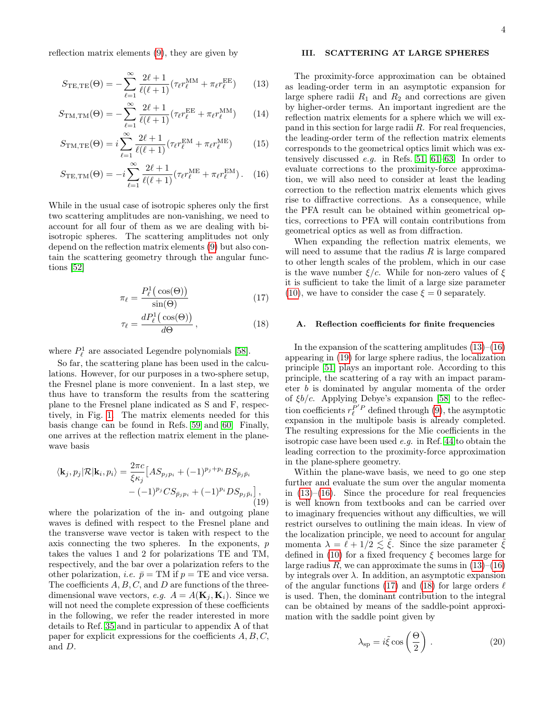reflection matrix elements [\(9\)](#page-2-3), they are given by

$$
S_{\text{TE,TE}}(\Theta) = -\sum_{\ell=1}^{\infty} \frac{2\ell+1}{\ell(\ell+1)} (\tau_{\ell} r_{\ell}^{\text{MM}} + \pi_{\ell} r_{\ell}^{\text{EE}})
$$
(13)

$$
S_{\text{TM,TM}}(\Theta) = -\sum_{\ell=1}^{\infty} \frac{2\ell+1}{\ell(\ell+1)} (\tau_{\ell} r_{\ell}^{\text{EE}} + \pi_{\ell} r_{\ell}^{\text{MM}})
$$
(14)

$$
S_{\text{TM,TE}}(\Theta) = i \sum_{\ell=1}^{\infty} \frac{2\ell+1}{\ell(\ell+1)} (\tau_{\ell} r_{\ell}^{\text{EM}} + \pi_{\ell} r_{\ell}^{\text{ME}})
$$
(15)

$$
S_{\text{TE,TM}}(\Theta) = -i \sum_{\ell=1}^{\infty} \frac{2\ell+1}{\ell(\ell+1)} (\tau_{\ell} r_{\ell}^{\text{ME}} + \pi_{\ell} r_{\ell}^{\text{EM}}). \quad (16)
$$

While in the usual case of isotropic spheres only the first two scattering amplitudes are non-vanishing, we need to account for all four of them as we are dealing with biisotropic spheres. The scattering amplitudes not only depend on the reflection matrix elements [\(9\)](#page-2-3) but also contain the scattering geometry through the angular functions [\[52\]](#page-14-5)

$$
\pi_{\ell} = \frac{P_{\ell}^{1}(\cos(\Theta))}{\sin(\Theta)}
$$
(17)

$$
\tau_{\ell} = \frac{dP_{\ell}^{1}(\cos(\Theta))}{d\Theta}, \qquad (18)
$$

where  $P_{\ell}^1$  are associated Legendre polynomials [\[58\]](#page-14-11).

So far, the scattering plane has been used in the calculations. However, for our purposes in a two-sphere setup, the Fresnel plane is more convenient. In a last step, we thus have to transform the results from the scattering plane to the Fresnel plane indicated as S and F, respectively, in Fig. [1.](#page-2-0) The matrix elements needed for this basis change can be found in Refs. [59](#page-14-12) and [60.](#page-14-13) Finally, one arrives at the reflection matrix element in the planewave basis

<span id="page-3-3"></span>
$$
\langle \mathbf{k}_j, p_j | \mathcal{R} | \mathbf{k}_i, p_i \rangle = \frac{2\pi c}{\xi \kappa_j} \Big[ A S_{p_j p_i} + (-1)^{p_j + p_i} B S_{\bar{p}_j \bar{p}_i} - (-1)^{p_j} C S_{\bar{p}_j p_i} + (-1)^{p_i} D S_{p_j \bar{p}_i} \Big],
$$
\n(19)

where the polarization of the in- and outgoing plane waves is defined with respect to the Fresnel plane and the transverse wave vector is taken with respect to the axis connecting the two spheres. In the exponents, p takes the values 1 and 2 for polarizations TE and TM, respectively, and the bar over a polarization refers to the other polarization, *i.e.*  $\bar{p} = TM$  if  $p = TE$  and vice versa. The coefficients  $A, B, C$ , and  $D$  are functions of the threedimensional wave vectors, e.g.  $A = A(\mathbf{K}_i, \mathbf{K}_i)$ . Since we will not need the complete expression of these coefficients in the following, we refer the reader interested in more details to Ref. [35](#page-13-25) and in particular to appendix A of that paper for explicit expressions for the coefficients  $A, B, C$ , and D.

# <span id="page-3-0"></span>III. SCATTERING AT LARGE SPHERES

<span id="page-3-1"></span>The proximity-force approximation can be obtained as leading-order term in an asymptotic expansion for large sphere radii  $R_1$  and  $R_2$  and corrections are given by higher-order terms. An important ingredient are the reflection matrix elements for a sphere which we will expand in this section for large radii  $R$ . For real frequencies, the leading-order term of the reflection matrix elements corresponds to the geometrical optics limit which was extensively discussed e.g. in Refs. [51,](#page-14-4) [61](#page-14-14)[–63.](#page-14-15) In order to evaluate corrections to the proximity-force approximation, we will also need to consider at least the leading correction to the reflection matrix elements which gives rise to diffractive corrections. As a consequence, while the PFA result can be obtained within geometrical optics, corrections to PFA will contain contributions from geometrical optics as well as from diffraction.

<span id="page-3-2"></span>When expanding the reflection matrix elements, we will need to assume that the radius  $R$  is large compared to other length scales of the problem, which in our case is the wave number  $\xi/c$ . While for non-zero values of  $\xi$ it is sufficient to take the limit of a large size parameter [\(10\)](#page-2-4), we have to consider the case  $\xi = 0$  separately.

### <span id="page-3-5"></span><span id="page-3-4"></span>A. Reflection coefficients for finite frequencies

In the expansion of the scattering amplitudes  $(13)$ – $(16)$ appearing in [\(19\)](#page-3-3) for large sphere radius, the localization principle [\[51\]](#page-14-4) plays an important role. According to this principle, the scattering of a ray with an impact parameter b is dominated by angular momenta of the order of  $\xi b/c$ . Applying Debye's expansion [\[58\]](#page-14-11) to the reflection coefficients  $r_{\ell}^{P'P}$  defined through [\(9\)](#page-2-3), the asymptotic expansion in the multipole basis is already completed. The resulting expressions for the Mie coefficients in the isotropic case have been used e.g. in Ref. [44](#page-13-30) to obtain the leading correction to the proximity-force approximation in the plane-sphere geometry.

Within the plane-wave basis, we need to go one step further and evaluate the sum over the angular momenta in  $(13)$ – $(16)$ . Since the procedure for real frequencies is well known from textbooks and can be carried over to imaginary frequencies without any difficulties, we will restrict ourselves to outlining the main ideas. In view of the localization principle, we need to account for angular momenta  $\lambda = \ell + 1/2 \lesssim \tilde{\xi}$ . Since the size parameter  $\tilde{\xi}$ defined in [\(10\)](#page-2-4) for a fixed frequency  $\xi$  becomes large for large radius R, we can approximate the sums in  $(13)–(16)$  $(13)–(16)$  $(13)–(16)$ by integrals over  $\lambda$ . In addition, an asymptotic expansion of the angular functions [\(17\)](#page-3-4) and [\(18\)](#page-3-5) for large orders  $\ell$ is used. Then, the dominant contribution to the integral can be obtained by means of the saddle-point approximation with the saddle point given by

$$
\lambda_{\rm sp} = i\tilde{\xi}\cos\left(\frac{\Theta}{2}\right). \tag{20}
$$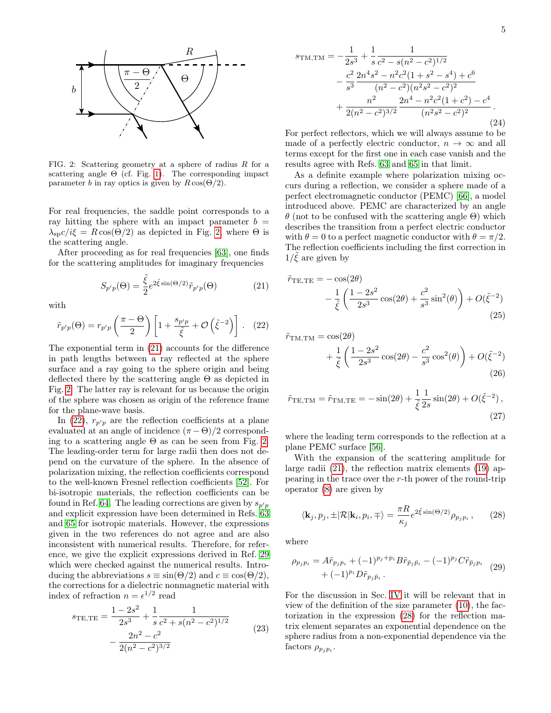

<span id="page-4-0"></span>FIG. 2: Scattering geometry at a sphere of radius  $R$  for a scattering angle  $\Theta$  (cf. Fig. [1\)](#page-2-0). The corresponding impact parameter b in ray optics is given by  $R\cos(\Theta/2)$ .

For real frequencies, the saddle point corresponds to a ray hitting the sphere with an impact parameter  $b =$  $\lambda_{\rm SD} c / i \xi = R \cos(\Theta/2)$  as depicted in Fig. [2,](#page-4-0) where  $\Theta$  is the scattering angle.

After proceeding as for real frequencies [\[63\]](#page-14-15), one finds for the scattering amplitudes for imaginary frequencies

<span id="page-4-1"></span>
$$
S_{p'p}(\Theta) = \frac{\tilde{\xi}}{2} e^{2\tilde{\xi}\sin(\Theta/2)} \tilde{r}_{p'p}(\Theta)
$$
 (21)

with

<span id="page-4-2"></span>
$$
\tilde{r}_{p'p}(\Theta) = r_{p'p} \left( \frac{\pi - \Theta}{2} \right) \left[ 1 + \frac{s_{p'p}}{\tilde{\xi}} + \mathcal{O}\left(\tilde{\xi}^{-2}\right) \right]. \tag{22}
$$

The exponential term in [\(21\)](#page-4-1) accounts for the difference in path lengths between a ray reflected at the sphere surface and a ray going to the sphere origin and being deflected there by the scattering angle Θ as depicted in Fig. [2.](#page-4-0) The latter ray is relevant for us because the origin of the sphere was chosen as origin of the reference frame for the plane-wave basis.

In [\(22\)](#page-4-2),  $r_{p'p}$  are the reflection coefficients at a plane evaluated at an angle of incidence  $(\pi - \Theta)/2$  corresponding to a scattering angle  $\Theta$  as can be seen from Fig. [2.](#page-4-0) The leading-order term for large radii then does not depend on the curvature of the sphere. In the absence of polarization mixing, the reflection coefficients correspond to the well-known Fresnel reflection coefficients [\[52\]](#page-14-5). For bi-isotropic materials, the reflection coefficients can be found in Ref. [64.](#page-14-16) The leading corrections are given by  $s_{p,p}$ and explicit expression have been determined in Refs. [63](#page-14-15) and [65](#page-14-17) for isotropic materials. However, the expressions given in the two references do not agree and are also inconsistent with numerical results. Therefore, for reference, we give the explicit expressions derived in Ref. [29](#page-13-20) which were checked against the numerical results. Introducing the abbreviations  $s \equiv \sin(\Theta/2)$  and  $c \equiv \cos(\Theta/2)$ , the corrections for a dielectric nonmagnetic material with index of refraction  $n = \epsilon^{1/2}$  read

<span id="page-4-6"></span>
$$
s_{\text{TE,TE}} = \frac{1 - 2s^2}{2s^3} + \frac{1}{s} \frac{1}{c^2 + s(n^2 - c^2)^{1/2}} - \frac{2n^2 - c^2}{2(n^2 - c^2)^{3/2}}
$$
(23)

<span id="page-4-7"></span>
$$
s_{\text{TM,TM}} = -\frac{1}{2s^3} + \frac{1}{s} \frac{1}{c^2 - s(n^2 - c^2)^{1/2}} - \frac{c^2}{s^3} \frac{2n^4s^2 - n^2c^2(1+s^2 - s^4) + c^6}{(n^2 - c^2)(n^2s^2 - c^2)^2} + \frac{n^2}{2(n^2 - c^2)^{3/2}} \frac{2n^4 - n^2c^2(1+c^2) - c^4}{(n^2s^2 - c^2)^2}.
$$
\n(24)

For perfect reflectors, which we will always assume to be made of a perfectly electric conductor,  $n \to \infty$  and all terms except for the first one in each case vanish and the results agree with Refs. [63](#page-14-15) and [65](#page-14-17) in that limit.

As a definite example where polarization mixing occurs during a reflection, we consider a sphere made of a perfect electromagnetic conductor (PEMC) [\[66\]](#page-14-18), a model introduced above. PEMC are characterized by an angle θ (not to be confused with the scattering angle Θ) which describes the transition from a perfect electric conductor with  $\theta = 0$  to a perfect magnetic conductor with  $\theta = \pi/2$ . The reflection coefficients including the first correction in  $1/\tilde{\xi}$  are given by

<span id="page-4-4"></span>
$$
\tilde{r}_{\text{TE,TE}} = -\cos(2\theta) \n- \frac{1}{\tilde{\xi}} \left( \frac{1 - 2s^2}{2s^3} \cos(2\theta) + \frac{c^2}{s^3} \sin^2(\theta) \right) + O(\tilde{\xi}^{-2})
$$
\n(25)

$$
\tilde{r}_{\text{TM,TM}} = \cos(2\theta) \n+ \frac{1}{\tilde{\xi}} \left( \frac{1 - 2s^2}{2s^3} \cos(2\theta) - \frac{c^2}{s^3} \cos^2(\theta) \right) + O(\tilde{\xi}^{-2})
$$
\n(26)

<span id="page-4-5"></span>
$$
\tilde{r}_{\text{TE,TM}} = \tilde{r}_{\text{TM,TE}} = -\sin(2\theta) + \frac{1}{\tilde{\xi}} \frac{1}{2s} \sin(2\theta) + O(\tilde{\xi}^{-2}),
$$
\n(27)

where the leading term corresponds to the reflection at a plane PEMC surface [\[56\]](#page-14-9).

With the expansion of the scattering amplitude for large radii [\(21\)](#page-4-1), the reflection matrix elements [\(19\)](#page-3-3) appearing in the trace over the r-th power of the round-trip operator [\(8\)](#page-2-1) are given by

<span id="page-4-3"></span>
$$
\langle \mathbf{k}_j, p_j, \pm | \mathcal{R} | \mathbf{k}_i, p_i, \mp \rangle = \frac{\pi R}{\kappa_j} e^{2\tilde{\xi}\sin(\Theta/2)} \rho_{p_j p_i}, \qquad (28)
$$

where

$$
\rho_{p_j p_i} = A \tilde{r}_{p_j p_i} + (-1)^{p_j + p_i} B \tilde{r}_{\bar{p}_j \bar{p}_i} - (-1)^{p_j} C \tilde{r}_{\bar{p}_j p_i} + (-1)^{p_i} D \tilde{r}_{p_j \bar{p}_i}.
$$
 (29)

For the discussion in Sec. [IV](#page-5-0) it will be relevant that in view of the definition of the size parameter [\(10\)](#page-2-4), the factorization in the expression [\(28\)](#page-4-3) for the reflection matrix element separates an exponential dependence on the sphere radius from a non-exponential dependence via the factors  $\rho_{p_j p_i}$ .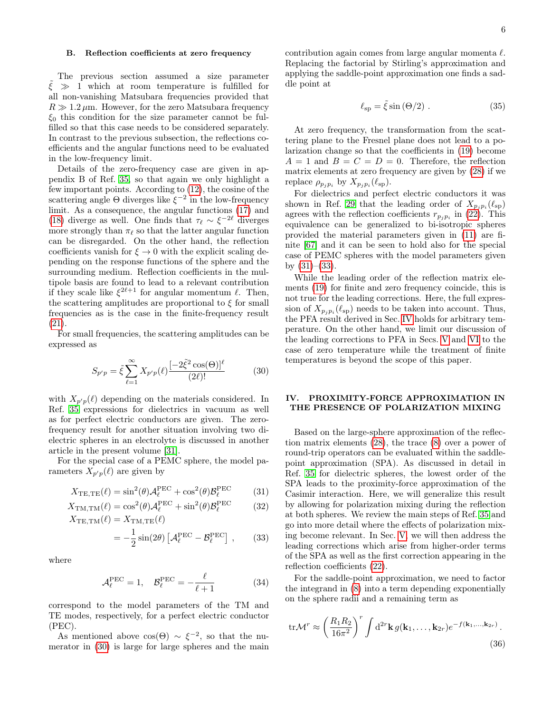# <span id="page-5-5"></span>B. Reflection coefficients at zero frequency

The previous section assumed a size parameter  $\tilde{\xi} \gg 1$  which at room temperature is fulfilled for all non-vanishing Matsubara frequencies provided that  $R \gg 1.2 \,\mu$ m. However, for the zero Matsubara frequency  $\xi_0$  this condition for the size parameter cannot be fulfilled so that this case needs to be considered separately. In contrast to the previous subsection, the reflections coefficients and the angular functions need to be evaluated in the low-frequency limit.

Details of the zero-frequency case are given in appendix B of Ref. [35,](#page-13-25) so that again we only highlight a few important points. According to [\(12\)](#page-2-5), the cosine of the scattering angle  $\Theta$  diverges like  $\xi^{-2}$  in the low-frequency limit. As a consequence, the angular functions [\(17\)](#page-3-4) and [\(18\)](#page-3-5) diverge as well. One finds that  $\tau_{\ell} \sim \xi^{-2\ell}$  diverges more strongly than  $\pi_{\ell}$  so that the latter angular function can be disregarded. On the other hand, the reflection coefficients vanish for  $\xi \to 0$  with the explicit scaling depending on the response functions of the sphere and the surrounding medium. Reflection coefficients in the multipole basis are found to lead to a relevant contribution if they scale like  $\xi^{2\ell+1}$  for angular momentum  $\ell$ . Then, the scattering amplitudes are proportional to  $\xi$  for small frequencies as is the case in the finite-frequency result [\(21\)](#page-4-1).

For small frequencies, the scattering amplitudes can be expressed as

<span id="page-5-1"></span>
$$
S_{p'p} = \tilde{\xi} \sum_{\ell=1}^{\infty} X_{p'p}(\ell) \frac{[-2\tilde{\xi}^2 \cos(\Theta)]^{\ell}}{(2\ell)!}
$$
 (30)

with  $X_{p'p}(\ell)$  depending on the materials considered. In Ref. [35](#page-13-25) expressions for dielectrics in vacuum as well as for perfect electric conductors are given. The zerofrequency result for another situation involving two dielectric spheres in an electrolyte is discussed in another article in the present volume [\[31\]](#page-13-22).

For the special case of a PEMC sphere, the model parameters  $X_{p'p}(\ell)$  are given by

$$
X_{\text{TE,TE}}(\ell) = \sin^2(\theta) \mathcal{A}_{\ell}^{\text{PEC}} + \cos^2(\theta) \mathcal{B}_{\ell}^{\text{PEC}} \tag{31}
$$

$$
X_{\text{TM,TM}}(\ell) = \cos^2(\theta) \mathcal{A}_{\ell}^{\text{PEC}} + \sin^2(\theta) \mathcal{B}_{\ell}^{\text{PEC}} \tag{32}
$$

$$
X_{\text{TE,TM}}(\ell) = X_{\text{TM,TE}}(\ell)
$$
  
=  $-\frac{1}{2}\sin(2\theta) \left[ \mathcal{A}_{\ell}^{\text{PEC}} - \mathcal{B}_{\ell}^{\text{PEC}} \right],$  (33)

where

$$
\mathcal{A}_{\ell}^{\text{PEC}} = 1, \quad \mathcal{B}_{\ell}^{\text{PEC}} = -\frac{\ell}{\ell+1}
$$
 (34)

correspond to the model parameters of the TM and TE modes, respectively, for a perfect electric conductor (PEC).

As mentioned above  $\cos(\Theta) \sim \xi^{-2}$ , so that the numerator in [\(30\)](#page-5-1) is large for large spheres and the main contribution again comes from large angular momenta  $\ell$ . Replacing the factorial by Stirling's approximation and applying the saddle-point approximation one finds a saddle point at

$$
\ell_{\rm sp} = \tilde{\xi} \sin \left( \Theta / 2 \right) . \tag{35}
$$

At zero frequency, the transformation from the scattering plane to the Fresnel plane does not lead to a polarization change so that the coefficients in [\(19\)](#page-3-3) become  $A = 1$  and  $B = C = D = 0$ . Therefore, the reflection matrix elements at zero frequency are given by [\(28\)](#page-4-3) if we replace  $\rho_{p_j p_i}$  by  $X_{p_j p_i}(\ell_{sp}).$ 

For dielectrics and perfect electric conductors it was shown in Ref. [29](#page-13-20) that the leading order of  $X_{p_j p_i}(\ell_{sp})$ agrees with the reflection coefficients  $r_{p_j p_i}$  in [\(22\)](#page-4-2). This equivalence can be generalized to bi-isotropic spheres provided the material parameters given in [\(11\)](#page-2-2) are finite [\[67\]](#page-14-19) and it can be seen to hold also for the special case of PEMC spheres with the model parameters given by  $(31)–(33)$  $(31)–(33)$  $(31)–(33)$ .

While the leading order of the reflection matrix elements [\(19\)](#page-3-3) for finite and zero frequency coincide, this is not true for the leading corrections. Here, the full expression of  $X_{p_j p_i}(\ell_{sp})$  needs to be taken into account. Thus, the PFA result derived in Sec. [IV](#page-5-0) holds for arbitrary temperature. On the other hand, we limit our discussion of the leading corrections to PFA in Secs. [V](#page-8-0) and [VI](#page-10-0) to the case of zero temperature while the treatment of finite temperatures is beyond the scope of this paper.

# <span id="page-5-0"></span>IV. PROXIMITY-FORCE APPROXIMATION IN THE PRESENCE OF POLARIZATION MIXING

<span id="page-5-2"></span>Based on the large-sphere approximation of the reflection matrix elements [\(28\)](#page-4-3), the trace [\(8\)](#page-2-1) over a power of round-trip operators can be evaluated within the saddlepoint approximation (SPA). As discussed in detail in Ref. [35](#page-13-25) for dielectric spheres, the lowest order of the SPA leads to the proximity-force approximation of the Casimir interaction. Here, we will generalize this result by allowing for polarization mixing during the reflection at both spheres. We review the main steps of Ref. [35](#page-13-25) and go into more detail where the effects of polarization mixing become relevant. In Sec. [V,](#page-8-0) we will then address the leading corrections which arise from higher-order terms of the SPA as well as the first correction appearing in the reflection coefficients [\(22\)](#page-4-2).

<span id="page-5-3"></span>For the saddle-point approximation, we need to factor the integrand in [\(8\)](#page-2-1) into a term depending exponentially on the sphere radii and a remaining term as

<span id="page-5-4"></span>
$$
\text{tr}\mathcal{M}^r \approx \left(\frac{R_1 R_2}{16\pi^2}\right)^r \int \mathrm{d}^{2r} \mathbf{k} \, g(\mathbf{k}_1, \dots, \mathbf{k}_{2r}) e^{-f(\mathbf{k}_1, \dots, \mathbf{k}_{2r})} \,. \tag{36}
$$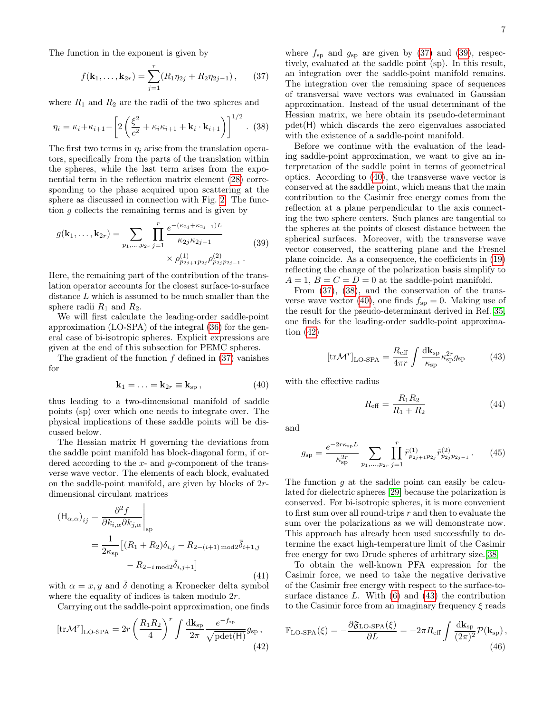The function in the exponent is given by

<span id="page-6-0"></span>
$$
f(\mathbf{k}_1,\ldots,\mathbf{k}_{2r})=\sum_{j=1}^r(R_1\eta_{2j}+R_2\eta_{2j-1}),\qquad(37)
$$

where  $R_1$  and  $R_2$  are the radii of the two spheres and

<span id="page-6-3"></span>
$$
\eta_i = \kappa_i + \kappa_{i+1} - \left[ 2\left(\frac{\xi^2}{c^2} + \kappa_i \kappa_{i+1} + \mathbf{k}_i \cdot \mathbf{k}_{i+1}\right) \right]^{1/2} . \tag{38}
$$

The first two terms in  $\eta_i$  arise from the translation operators, specifically from the parts of the translation within the spheres, while the last term arises from the exponential term in the reflection matrix element [\(28\)](#page-4-3) corresponding to the phase acquired upon scattering at the sphere as discussed in connection with Fig. [2.](#page-4-0) The function g collects the remaining terms and is given by

<span id="page-6-1"></span>
$$
g(\mathbf{k}_1, \dots, \mathbf{k}_{2r}) = \sum_{p_1, \dots, p_{2r}} \prod_{j=1}^r \frac{e^{-(\kappa_{2j} + \kappa_{2j-1})L}}{\kappa_{2j}\kappa_{2j-1}} \times \rho_{p_{2j+1}p_{2j}}^{(1)} \rho_{p_{2j}p_{2j-1}}^{(2)}.
$$
 (39)

Here, the remaining part of the contribution of the translation operator accounts for the closest surface-to-surface distance L which is assumed to be much smaller than the sphere radii  $R_1$  and  $R_2$ .

We will first calculate the leading-order saddle-point approximation (LO-SPA) of the integral [\(36\)](#page-5-4) for the general case of bi-isotropic spheres. Explicit expressions are given at the end of this subsection for PEMC spheres.

The gradient of the function  $f$  defined in  $(37)$  vanishes for

<span id="page-6-2"></span>
$$
\mathbf{k}_1 = \ldots = \mathbf{k}_{2r} \equiv \mathbf{k}_{sp} \,, \tag{40}
$$

thus leading to a two-dimensional manifold of saddle points (sp) over which one needs to integrate over. The physical implications of these saddle points will be discussed below.

The Hessian matrix H governing the deviations from the saddle point manifold has block-diagonal form, if ordered according to the  $x$ - and  $y$ -component of the transverse wave vector. The elements of each block, evaluated on the saddle-point manifold, are given by blocks of 2rdimensional circulant matrices

$$
\begin{aligned} \left(\mathsf{H}_{\alpha,\alpha}\right)_{ij} &= \frac{\partial^2 f}{\partial k_{i,\alpha} \partial k_{j,\alpha}} \bigg|_{\text{sp}} \\ &= \frac{1}{2\kappa_{\text{sp}}} \left[ (R_1 + R_2) \delta_{i,j} - R_{2-(i+1)\,\text{mod}2} \bar{\delta}_{i+1,j} \right. \\ &\quad - R_{2-i\,\text{mod}2} \bar{\delta}_{i,j+1} \right] \end{aligned} \tag{41}
$$

with  $\alpha = x, y$  and  $\overline{\delta}$  denoting a Kronecker delta symbol where the equality of indices is taken modulo  $2r$ .

Carrying out the saddle-point approximation, one finds

<span id="page-6-4"></span>
$$
\left[\text{tr}\mathcal{M}^r\right]_{\text{LO-SPA}} = 2r \left(\frac{R_1 R_2}{4}\right)^r \int \frac{\text{d}\mathbf{k}_{\text{sp}}}{2\pi} \frac{e^{-f_{\text{sp}}}}{\sqrt{\text{pdet}(\mathsf{H})}} g_{\text{sp}}\,,\tag{42}
$$

where  $f_{\rm sp}$  and  $g_{\rm sp}$  are given by [\(37\)](#page-6-0) and [\(39\)](#page-6-1), respectively, evaluated at the saddle point (sp). In this result, an integration over the saddle-point manifold remains. The integration over the remaining space of sequences of transversal wave vectors was evaluated in Gaussian approximation. Instead of the usual determinant of the Hessian matrix, we here obtain its pseudo-determinant pdet(H) which discards the zero eigenvalues associated with the existence of a saddle-point manifold.

Before we continue with the evaluation of the leading saddle-point approximation, we want to give an interpretation of the saddle point in terms of geometrical optics. According to [\(40\)](#page-6-2), the transverse wave vector is conserved at the saddle point, which means that the main contribution to the Casimir free energy comes from the reflection at a plane perpendicular to the axis connecting the two sphere centers. Such planes are tangential to the spheres at the points of closest distance between the spherical surfaces. Moreover, with the transverse wave vector conserved, the scattering plane and the Fresnel plane coincide. As a consequence, the coefficients in [\(19\)](#page-3-3) reflecting the change of the polarization basis simplify to  $A = 1, B = C = D = 0$  at the saddle-point manifold.

From [\(37\)](#page-6-0), [\(38\)](#page-6-3), and the conservation of the trans-verse wave vector [\(40\)](#page-6-2), one finds  $f_{sp} = 0$ . Making use of the result for the pseudo-determinant derived in Ref. [35,](#page-13-25) one finds for the leading-order saddle-point approximation [\(42\)](#page-6-4)

<span id="page-6-5"></span>
$$
[\text{tr}\mathcal{M}^r]_{\text{LO-SPA}} = \frac{R_{\text{eff}}}{4\pi r} \int \frac{d\mathbf{k}_{\text{sp}}}{\kappa_{\text{sp}}^2} \kappa_{\text{sp}}^{2r} g_{\text{sp}} \tag{43}
$$

with the effective radius

$$
R_{\text{eff}} = \frac{R_1 R_2}{R_1 + R_2} \tag{44}
$$

and

$$
g_{sp} = \frac{e^{-2r\kappa_{sp}L}}{\kappa_{sp}^{2r}} \sum_{p_1,\dots,p_{2r}} \prod_{j=1}^r \tilde{r}_{p_{2j+1}p_{2j}}^{(1)} \tilde{r}_{p_{2j}p_{2j-1}}^{(2)}.
$$
 (45)

The function  $q$  at the saddle point can easily be calculated for dielectric spheres [\[29\]](#page-13-20) because the polarization is conserved. For bi-isotropic spheres, it is more convenient to first sum over all round-trips r and then to evaluate the sum over the polarizations as we will demonstrate now. This approach has already been used successfully to determine the exact high-temperature limit of the Casimir free energy for two Drude spheres of arbitrary size.[\[38\]](#page-13-28)

To obtain the well-known PFA expression for the Casimir force, we need to take the negative derivative of the Casimir free energy with respect to the surface-tosurface distance  $L$ . With  $(6)$  and  $(43)$  the contribution to the Casimir force from an imaginary frequency  $\xi$  reads

<span id="page-6-6"></span>
$$
\mathbb{F}_{\text{LO-SPA}}(\xi) = -\frac{\partial \mathfrak{F}_{\text{LO-SPA}}(\xi)}{\partial L} = -2\pi R_{\text{eff}} \int \frac{d\mathbf{k}_{\text{sp}}}{(2\pi)^2} \mathcal{P}(\mathbf{k}_{\text{sp}}),\tag{46}
$$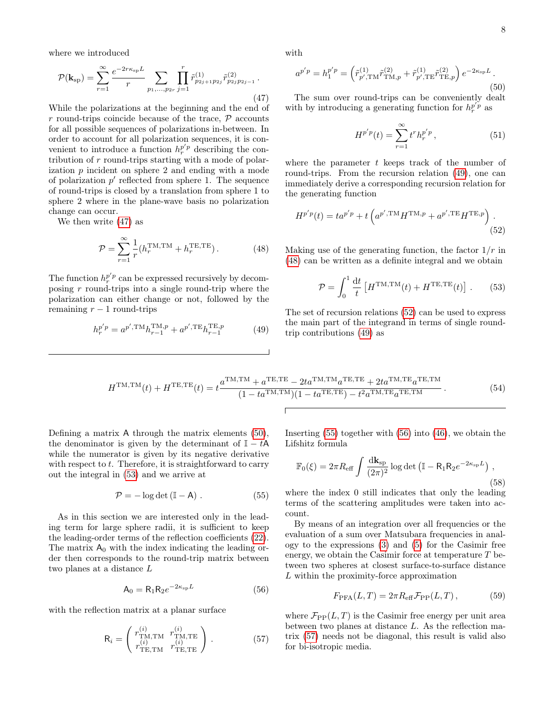where we introduced

<span id="page-7-0"></span>
$$
\mathcal{P}(\mathbf{k}_{sp}) = \sum_{r=1}^{\infty} \frac{e^{-2r\kappa_{sp}L}}{r} \sum_{p_1, \dots, p_{2r}} \prod_{j=1}^{r} \tilde{r}_{p_{2j+1}p_{2j}}^{(1)} \tilde{r}_{p_{2j}p_{2j-1}}^{(2)}.
$$
\n(47)

While the polarizations at the beginning and the end of r round-trips coincide because of the trace,  $P$  accounts for all possible sequences of polarizations in-between. In order to account for all polarization sequences, it is convenient to introduce a function  $h_r^{p'p}$  describing the contribution of r round-trips starting with a mode of polarization p incident on sphere 2 and ending with a mode of polarization  $p'$  reflected from sphere 1. The sequence of round-trips is closed by a translation from sphere 1 to sphere 2 where in the plane-wave basis no polarization change can occur.

We then write [\(47\)](#page-7-0) as

<span id="page-7-2"></span>
$$
\mathcal{P} = \sum_{r=1}^{\infty} \frac{1}{r} (h_r^{\text{TM,TM}} + h_r^{\text{TE,TE}}). \tag{48}
$$

The function  $h_r^{p'p}$  can be expressed recursively by decomposing  $r$  round-trips into a single round-trip where the polarization can either change or not, followed by the remaining  $r - 1$  round-trips

$$
h_r^{p'p} = a^{p', \text{TM}} h_{r-1}^{\text{TM}, p} + a^{p', \text{TE}} h_{r-1}^{\text{TE}, p}
$$
 (49)

with

<span id="page-7-4"></span>
$$
a^{p'p} = h_1^{p'p} = \left(\tilde{r}_{p', \text{TM}}^{(1)} \tilde{r}_{\text{TM}, p}^{(2)} + \tilde{r}_{p', \text{TE}}^{(1)} \tilde{r}_{\text{TE}, p}^{(2)}\right) e^{-2\kappa_{\text{sp}}L}.
$$
\n(50)

The sum over round-trips can be conveniently dealt with by introducing a generating function for  $h_r^{p'p}$  as

<span id="page-7-3"></span>
$$
H^{p'p}(t) = \sum_{r=1}^{\infty} t^r h_r^{p'p}, \qquad (51)
$$

where the parameter  $t$  keeps track of the number of round-trips. From the recursion relation [\(49\)](#page-7-1), one can immediately derive a corresponding recursion relation for the generating function

$$
H^{p'p}(t) = t a^{p'p} + t \left( a^{p', \text{TM}} H^{\text{TM}, p} + a^{p', \text{TE}} H^{\text{TE}, p} \right). \tag{52}
$$

Making use of the generating function, the factor  $1/r$  in [\(48\)](#page-7-2) can be written as a definite integral and we obtain

<span id="page-7-5"></span>
$$
\mathcal{P} = \int_0^1 \frac{\mathrm{d}t}{t} \left[ H^{\text{TM,TM}}(t) + H^{\text{TE,TE}}(t) \right]. \tag{53}
$$

<span id="page-7-1"></span>The set of recursion relations [\(52\)](#page-7-3) can be used to express the main part of the integrand in terms of single roundtrip contributions [\(49\)](#page-7-1) as

$$
H^{\text{TM,TM}}(t) + H^{\text{TE,TE}}(t) = t \frac{a^{\text{TM,TM}} + a^{\text{TE,TE}} - 2ta^{\text{TM,TM}}a^{\text{TE,TE}} + 2ta^{\text{TM,TE}}a^{\text{TE,TM}}}{(1 - ta^{\text{TM,TM}})(1 - ta^{\text{TE,TE}}) - t^2 a^{\text{TM,TE}}a^{\text{TE,TM}}}.
$$
(54)

Defining a matrix A through the matrix elements [\(50\)](#page-7-4), the denominator is given by the determinant of  $\mathbb{I} - t\mathsf{A}$ while the numerator is given by its negative derivative with respect to  $t$ . Therefore, it is straightforward to carry out the integral in [\(53\)](#page-7-5) and we arrive at

<span id="page-7-6"></span>
$$
\mathcal{P} = -\log \det (\mathbb{I} - \mathsf{A}) \ . \tag{55}
$$

As in this section we are interested only in the leading term for large sphere radii, it is sufficient to keep the leading-order terms of the reflection coefficients [\(22\)](#page-4-2). The matrix  $A_0$  with the index indicating the leading order then corresponds to the round-trip matrix between two planes at a distance L

<span id="page-7-7"></span>
$$
\mathsf{A}_0 = \mathsf{R}_1 \mathsf{R}_2 e^{-2\kappa_{\rm sp}L} \tag{56}
$$

with the reflection matrix at a planar surface

<span id="page-7-8"></span>
$$
\mathbf{R}_{i} = \begin{pmatrix} r_{\text{TM,TM}}^{(i)} & r_{\text{TM,TE}}^{(i)} \\ r_{\text{TE,TM}}^{(i)} & r_{\text{TE,TE}}^{(i)} \end{pmatrix} . \tag{57}
$$

Inserting [\(55\)](#page-7-6) together with [\(56\)](#page-7-7) into [\(46\)](#page-6-6), we obtain the Lifshitz formula

$$
\mathbb{F}_0(\xi) = 2\pi R_{\text{eff}} \int \frac{d\mathbf{k}_{\text{sp}}}{(2\pi)^2} \log \det \left( \mathbb{I} - \mathsf{R}_1 \mathsf{R}_2 e^{-2\kappa_{\text{sp}} L} \right) ,
$$
\n(58)

where the index 0 still indicates that only the leading terms of the scattering amplitudes were taken into account.

By means of an integration over all frequencies or the evaluation of a sum over Matsubara frequencies in analogy to the expressions [\(3\)](#page-1-5) and [\(5\)](#page-1-6) for the Casimir free energy, we obtain the Casimir force at temperature  $T$  between two spheres at closest surface-to-surface distance L within the proximity-force approximation

$$
F_{\rm PFA}(L,T) = 2\pi R_{\rm eff} \mathcal{F}_{\rm PP}(L,T),\qquad(59)
$$

where  $\mathcal{F}_{\text{PP}}(L,T)$  is the Casimir free energy per unit area between two planes at distance L. As the reflection matrix [\(57\)](#page-7-8) needs not be diagonal, this result is valid also for bi-isotropic media.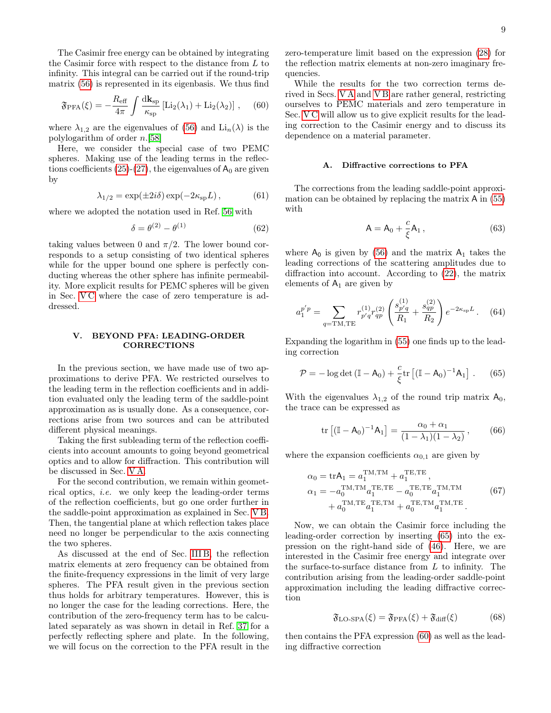The Casimir free energy can be obtained by integrating the Casimir force with respect to the distance from L to infinity. This integral can be carried out if the round-trip matrix [\(56\)](#page-7-7) is represented in its eigenbasis. We thus find

<span id="page-8-3"></span>
$$
\mathfrak{F}_{\text{PFA}}(\xi) = -\frac{R_{\text{eff}}}{4\pi} \int \frac{d\mathbf{k}_{\text{sp}}}{\kappa_{\text{sp}}} \left[ \text{Li}_2(\lambda_1) + \text{Li}_2(\lambda_2) \right] , \quad (60)
$$

where  $\lambda_{1,2}$  are the eigenvalues of [\(56\)](#page-7-7) and  $\text{Li}_n(\lambda)$  is the polylogarithm of order n.[\[58\]](#page-14-11)

Here, we consider the special case of two PEMC spheres. Making use of the leading terms in the reflec-tions coefficients [\(25\)](#page-4-4)-[\(27\)](#page-4-5), the eigenvalues of  $A_0$  are given by

$$
\lambda_{1/2} = \exp(\pm 2i\delta) \exp(-2\kappa_{\rm sp}L), \tag{61}
$$

where we adopted the notation used in Ref. [56](#page-14-9) with

<span id="page-8-6"></span>
$$
\delta = \theta^{(2)} - \theta^{(1)} \tag{62}
$$

taking values between 0 and  $\pi/2$ . The lower bound corresponds to a setup consisting of two identical spheres while for the upper bound one sphere is perfectly conducting whereas the other sphere has infinite permeability. More explicit results for PEMC spheres will be given in Sec. [V C](#page-10-1) where the case of zero temperature is addressed.

### <span id="page-8-0"></span>V. BEYOND PFA: LEADING-ORDER CORRECTIONS

In the previous section, we have made use of two approximations to derive PFA. We restricted ourselves to the leading term in the reflection coefficients and in addition evaluated only the leading term of the saddle-point approximation as is usually done. As a consequence, corrections arise from two sources and can be attributed different physical meanings.

Taking the first subleading term of the reflection coefficients into account amounts to going beyond geometrical optics and to allow for diffraction. This contribution will be discussed in Sec. [V A.](#page-8-1)

For the second contribution, we remain within geometrical optics, i.e. we only keep the leading-order terms of the reflection coefficients, but go one order further in the saddle-point approximation as explained in Sec. [V B.](#page-9-0) Then, the tangential plane at which reflection takes place need no longer be perpendicular to the axis connecting the two spheres.

As discussed at the end of Sec. [III B,](#page-5-5) the reflection matrix elements at zero frequency can be obtained from the finite-frequency expressions in the limit of very large spheres. The PFA result given in the previous section thus holds for arbitrary temperatures. However, this is no longer the case for the leading corrections. Here, the contribution of the zero-frequency term has to be calculated separately as was shown in detail in Ref. [37](#page-13-27) for a perfectly reflecting sphere and plate. In the following, we will focus on the correction to the PFA result in the

zero-temperature limit based on the expression [\(28\)](#page-4-3) for the reflection matrix elements at non-zero imaginary frequencies.

While the results for the two correction terms derived in Secs. [V A](#page-8-1) and [V B](#page-9-0) are rather general, restricting ourselves to PEMC materials and zero temperature in Sec. [V C](#page-10-1) will allow us to give explicit results for the leading correction to the Casimir energy and to discuss its dependence on a material parameter.

### <span id="page-8-1"></span>A. Diffractive corrections to PFA

The corrections from the leading saddle-point approximation can be obtained by replacing the matrix A in [\(55\)](#page-7-6) with

$$
A = A_0 + \frac{c}{\xi} A_1, \qquad (63)
$$

where  $A_0$  is given by [\(56\)](#page-7-7) and the matrix  $A_1$  takes the leading corrections of the scattering amplitudes due to diffraction into account. According to [\(22\)](#page-4-2), the matrix elements of  $A_1$  are given by

<span id="page-8-4"></span>
$$
a_1^{p'p} = \sum_{q=\text{TM,TE}} r_{p'q}^{(1)} r_{qp}^{(2)} \left( \frac{s_{p'q}^{(1)}}{R_1} + \frac{s_{qp}^{(2)}}{R_2} \right) e^{-2\kappa_{\text{sp}}L} \,. \tag{64}
$$

Expanding the logarithm in [\(55\)](#page-7-6) one finds up to the leading correction

<span id="page-8-2"></span>
$$
\mathcal{P} = -\log \det \left( \mathbb{I} - \mathsf{A}_0 \right) + \frac{c}{\xi} \text{tr} \left[ (\mathbb{I} - \mathsf{A}_0)^{-1} \mathsf{A}_1 \right]. \tag{65}
$$

With the eigenvalues  $\lambda_{1,2}$  of the round trip matrix  $A_0$ , the trace can be expressed as

$$
\text{tr}\left[ (\mathbb{I} - \mathsf{A}_0)^{-1} \mathsf{A}_1 \right] = \frac{\alpha_0 + \alpha_1}{(1 - \lambda_1)(1 - \lambda_2)},\tag{66}
$$

where the expansion coefficients  $\alpha_{0,1}$  are given by

<span id="page-8-5"></span>
$$
\alpha_0 = \text{tr} A_1 = a_1^{\text{TM,TM}} + a_1^{\text{TE,TE}}, \n\alpha_1 = -a_0^{\text{TM,TM}} a_1^{\text{TE,TE}} - a_0^{\text{TE,TE}} a_1^{\text{TM,TM}} \n+ a_0^{\text{TM,TE}} a_1^{\text{TE,TM}} + a_0^{\text{TE,TM}} a_1^{\text{TM,TE}}.
$$
\n(67)

Now, we can obtain the Casimir force including the leading-order correction by inserting [\(65\)](#page-8-2) into the expression on the right-hand side of [\(46\)](#page-6-6). Here, we are interested in the Casimir free energy and integrate over the surface-to-surface distance from L to infinity. The contribution arising from the leading-order saddle-point approximation including the leading diffractive correction

$$
\mathfrak{F}_{\text{LO-SPA}}(\xi) = \mathfrak{F}_{\text{PFA}}(\xi) + \mathfrak{F}_{\text{diff}}(\xi) \tag{68}
$$

then contains the PFA expression [\(60\)](#page-8-3) as well as the leading diffractive correction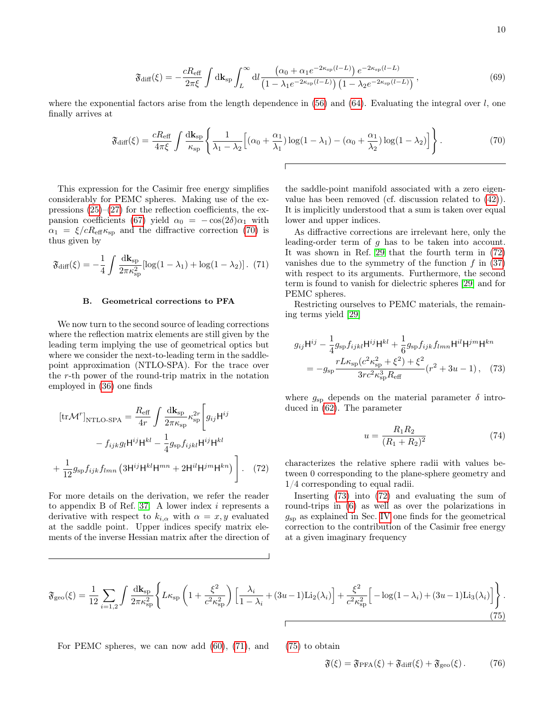$$
\mathfrak{F}_{\text{diff}}(\xi) = -\frac{cR_{\text{eff}}}{2\pi\xi} \int \mathrm{d}\mathbf{k}_{\text{sp}} \int_{L}^{\infty} \mathrm{d}l \frac{\left(\alpha_{0} + \alpha_{1}e^{-2\kappa_{\text{sp}}(l-L)}\right)e^{-2\kappa_{\text{sp}}(l-L)}}{\left(1 - \lambda_{1}e^{-2\kappa_{\text{sp}}(l-L)}\right)\left(1 - \lambda_{2}e^{-2\kappa_{\text{sp}}(l-L)}\right)},\tag{69}
$$

where the exponential factors arise from the length dependence in  $(56)$  and  $(64)$ . Evaluating the integral over l, one finally arrives at

<span id="page-9-1"></span>
$$
\mathfrak{F}_{\text{diff}}(\xi) = \frac{cR_{\text{eff}}}{4\pi\xi} \int \frac{d\mathbf{k}_{\text{sp}}}{\kappa_{\text{sp}}} \left\{ \frac{1}{\lambda_1 - \lambda_2} \left[ (\alpha_0 + \frac{\alpha_1}{\lambda_1}) \log(1 - \lambda_1) - (\alpha_0 + \frac{\alpha_1}{\lambda_2}) \log(1 - \lambda_2) \right] \right\}.
$$
 (70)

This expression for the Casimir free energy simplifies considerably for PEMC spheres. Making use of the expressions  $(25)-(27)$  $(25)-(27)$  $(25)-(27)$  for the reflection coefficients, the ex-pansion coefficients [\(67\)](#page-8-5) yield  $\alpha_0 = -\cos(2\delta)\alpha_1$  with  $\alpha_1 = \xi/cR_{\text{eff}}\kappa_{\text{sp}}$  and the diffractive correction [\(70\)](#page-9-1) is thus given by

<span id="page-9-4"></span>
$$
\mathfrak{F}_{\text{diff}}(\xi) = -\frac{1}{4} \int \frac{d\mathbf{k}_{\text{sp}}}{2\pi \kappa_{\text{sp}}^2} [\log(1 - \lambda_1) + \log(1 - \lambda_2)]. \tag{71}
$$

#### <span id="page-9-0"></span>B. Geometrical corrections to PFA

We now turn to the second source of leading corrections where the reflection matrix elements are still given by the leading term implying the use of geometrical optics but where we consider the next-to-leading term in the saddlepoint approximation (NTLO-SPA). For the trace over the r-th power of the round-trip matrix in the notation employed in [\(36\)](#page-5-4) one finds

$$
[\text{tr}\mathcal{M}^r]_{\text{NTLO-SPA}} = \frac{R_{\text{eff}}}{4r} \int \frac{d\mathbf{k}_{\text{sp}}}{2\pi\kappa_{\text{sp}}} \kappa_{\text{sp}}^{2r} \Bigg[ g_{ij} \mathbf{H}^{ij} - f_{ijk} g_l \mathbf{H}^{ij} \mathbf{H}^{kl} - \frac{1}{4} g_{\text{sp}} f_{ijkl} \mathbf{H}^{ij} \mathbf{H}^{kl} + \frac{1}{12} g_{\text{sp}} f_{ijk} f_{lmn} \left( 3 \mathbf{H}^{ij} \mathbf{H}^{kl} \mathbf{H}^{mn} + 2 \mathbf{H}^{il} \mathbf{H}^{jm} \mathbf{H}^{kn} \right) \Bigg].
$$
 (72)

For more details on the derivation, we refer the reader to appendix B of Ref. [37.](#page-13-27) A lower index i represents a derivative with respect to  $k_{i,\alpha}$  with  $\alpha = x, y$  evaluated at the saddle point. Upper indices specify matrix elements of the inverse Hessian matrix after the direction of

the saddle-point manifold associated with a zero eigenvalue has been removed (cf. discussion related to [\(42\)](#page-6-4)). It is implicitly understood that a sum is taken over equal lower and upper indices.

As diffractive corrections are irrelevant here, only the leading-order term of g has to be taken into account. It was shown in Ref. [29](#page-13-20) that the fourth term in [\(72\)](#page-9-2) vanishes due to the symmetry of the function  $f$  in  $(37)$ with respect to its arguments. Furthermore, the second term is found to vanish for dielectric spheres [\[29\]](#page-13-20) and for PEMC spheres.

Restricting ourselves to PEMC materials, the remaining terms yield [\[29\]](#page-13-20)

$$
g_{ij}\mathsf{H}^{ij} - \frac{1}{4}g_{sp}f_{ijkl}\mathsf{H}^{ij}\mathsf{H}^{kl} + \frac{1}{6}g_{sp}f_{ijk}f_{lmn}\mathsf{H}^{il}\mathsf{H}^{jm}\mathsf{H}^{kn}
$$

$$
= -g_{sp}\frac{rL\kappa_{sp}(c^2\kappa_{sp}^2 + \xi^2) + \xi^2}{3rc^2\kappa_{sp}^3R_{\text{eff}}} (r^2 + 3u - 1), \quad (73)
$$

where  $g_{\rm sp}$  depends on the material parameter  $\delta$  introduced in [\(62\)](#page-8-6). The parameter

<span id="page-9-6"></span><span id="page-9-3"></span>
$$
u = \frac{R_1 R_2}{(R_1 + R_2)^2} \tag{74}
$$

<span id="page-9-2"></span>characterizes the relative sphere radii with values between 0 corresponding to the plane-sphere geometry and 1/4 corresponding to equal radii.

Inserting [\(73\)](#page-9-3) into [\(72\)](#page-9-2) and evaluating the sum of round-trips in [\(6\)](#page-1-3) as well as over the polarizations in  $g_{sp}$  as explained in Sec. [IV](#page-5-0) one finds for the geometrical correction to the contribution of the Casimir free energy at a given imaginary frequency

<span id="page-9-5"></span>
$$
\mathfrak{F}_{\rm geo}(\xi) = \frac{1}{12} \sum_{i=1,2} \int \frac{d\mathbf{k}_{\rm sp}}{2\pi\kappa_{\rm sp}^2} \left\{ L\kappa_{\rm sp} \left( 1 + \frac{\xi^2}{c^2 \kappa_{\rm sp}^2} \right) \left[ \frac{\lambda_i}{1 - \lambda_i} + (3u - 1)\text{Li}_2(\lambda_i) \right] + \frac{\xi^2}{c^2 \kappa_{\rm sp}^2} \left[ -\log(1 - \lambda_i) + (3u - 1)\text{Li}_3(\lambda_i) \right] \right\}.
$$
\n(75)

For PEMC spheres, we can now add  $(60)$ ,  $(71)$ , and  $(75)$  to obtain

$$
\mathfrak{F}(\xi) = \mathfrak{F}_{\text{PFA}}(\xi) + \mathfrak{F}_{\text{diff}}(\xi) + \mathfrak{F}_{\text{geo}}(\xi). \tag{76}
$$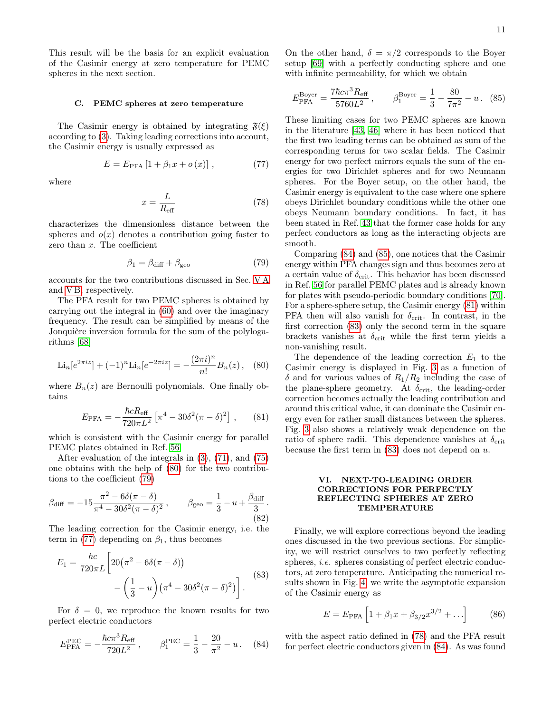This result will be the basis for an explicit evaluation of the Casimir energy at zero temperature for PEMC spheres in the next section.

### <span id="page-10-1"></span>C. PEMC spheres at zero temperature

The Casimir energy is obtained by integrating  $\mathfrak{F}(\xi)$ according to [\(3\)](#page-1-5). Taking leading corrections into account, the Casimir energy is usually expressed as

<span id="page-10-4"></span>
$$
E = E_{\text{PFA}} [1 + \beta_1 x + o(x)], \qquad (77)
$$

where

<span id="page-10-9"></span>
$$
x = \frac{L}{R_{\text{eff}}}
$$
\n(78)

characterizes the dimensionless distance between the spheres and  $o(x)$  denotes a contribution going faster to zero than  $x$ . The coefficient

<span id="page-10-3"></span>
$$
\beta_1 = \beta_{\text{diff}} + \beta_{\text{geo}} \tag{79}
$$

accounts for the two contributions discussed in Sec. [V A](#page-8-1) and [V B,](#page-9-0) respectively.

The PFA result for two PEMC spheres is obtained by carrying out the integral in [\(60\)](#page-8-3) and over the imaginary frequency. The result can be simplified by means of the Jonquière inversion formula for the sum of the polylogarithms [\[68\]](#page-14-20)

$$
\text{Li}_n[e^{2\pi i z}] + (-1)^n \text{Li}_n[e^{-2\pi i z}] = -\frac{(2\pi i)^n}{n!} B_n(z), \quad (80)
$$

where  $B_n(z)$  are Bernoulli polynomials. One finally obtains

<span id="page-10-7"></span>
$$
E_{\rm PFA} = -\frac{\hbar c R_{\rm eff}}{720\pi L^2} \left[ \pi^4 - 30\delta^2 (\pi - \delta)^2 \right] , \qquad (81)
$$

which is consistent with the Casimir energy for parallel PEMC plates obtained in Ref. [56.](#page-14-9)

After evaluation of the integrals in [\(3\)](#page-1-5), [\(71\)](#page-9-4), and [\(75\)](#page-9-5) one obtains with the help of [\(80\)](#page-10-2) for the two contributions to the coefficient [\(79\)](#page-10-3)

<span id="page-10-10"></span>
$$
\beta_{\text{diff}} = -15 \frac{\pi^2 - 6\delta(\pi - \delta)}{\pi^4 - 30\delta^2(\pi - \delta)^2}, \qquad \beta_{\text{geo}} = \frac{1}{3} - u + \frac{\beta_{\text{diff}}}{3}.
$$
\n(82)

The leading correction for the Casimir energy, i.e. the term in [\(77\)](#page-10-4) depending on  $\beta_1$ , thus becomes

<span id="page-10-8"></span>
$$
E_1 = \frac{\hbar c}{720\pi L} \left[ 20\left(\pi^2 - 6\delta(\pi - \delta)\right) - \left(\frac{1}{3} - u\right)\left(\pi^4 - 30\delta^2(\pi - \delta)^2\right) \right].
$$
\n(83)

For  $\delta = 0$ , we reproduce the known results for two perfect electric conductors

<span id="page-10-5"></span>
$$
E_{\text{PFA}}^{\text{PEC}} = -\frac{\hbar c \pi^3 R_{\text{eff}}}{720L^2} , \qquad \beta_1^{\text{PEC}} = \frac{1}{3} - \frac{20}{\pi^2} - u . \tag{84}
$$

On the other hand,  $\delta = \pi/2$  corresponds to the Boyer setup [\[69\]](#page-14-21) with a perfectly conducting sphere and one with infinite permeability, for which we obtain

<span id="page-10-6"></span>
$$
E_{\text{PFA}}^{\text{Boyer}} = \frac{7\hbar c \pi^3 R_{\text{eff}}}{5760L^2} , \qquad \beta_1^{\text{Boyer}} = \frac{1}{3} - \frac{80}{7\pi^2} - u . \tag{85}
$$

These limiting cases for two PEMC spheres are known in the literature [\[43,](#page-13-33) [46\]](#page-13-32) where it has been noticed that the first two leading terms can be obtained as sum of the corresponding terms for two scalar fields. The Casimir energy for two perfect mirrors equals the sum of the energies for two Dirichlet spheres and for two Neumann spheres. For the Boyer setup, on the other hand, the Casimir energy is equivalent to the case where one sphere obeys Dirichlet boundary conditions while the other one obeys Neumann boundary conditions. In fact, it has been stated in Ref. [43](#page-13-33) that the former case holds for any perfect conductors as long as the interacting objects are smooth.

Comparing [\(84\)](#page-10-5) and [\(85\)](#page-10-6), one notices that the Casimir energy within PFA changes sign and thus becomes zero at a certain value of  $\delta_{\rm crit}$ . This behavior has been discussed in Ref. [56](#page-14-9) for parallel PEMC plates and is already known for plates with pseudo-periodic boundary conditions [\[70\]](#page-14-22). For a sphere-sphere setup, the Casimir energy [\(81\)](#page-10-7) within PFA then will also vanish for  $\delta_{\rm crit}$ . In contrast, in the first correction [\(83\)](#page-10-8) only the second term in the square brackets vanishes at  $\delta_{\rm crit}$  while the first term yields a non-vanishing result.

<span id="page-10-2"></span>The dependence of the leading correction  $E_1$  to the Casimir energy is displayed in Fig. [3](#page-11-0) as a function of  $\delta$  and for various values of  $R_1/R_2$  including the case of the plane-sphere geometry. At  $\delta_{\rm crit}$ , the leading-order correction becomes actually the leading contribution and around this critical value, it can dominate the Casimir energy even for rather small distances between the spheres. Fig. [3](#page-11-0) also shows a relatively weak dependence on the ratio of sphere radii. This dependence vanishes at  $\delta_{\rm crit}$ because the first term in  $(83)$  does not depend on u.

# <span id="page-10-0"></span>VI. NEXT-TO-LEADING ORDER CORRECTIONS FOR PERFECTLY REFLECTING SPHERES AT ZERO TEMPERATURE

Finally, we will explore corrections beyond the leading ones discussed in the two previous sections. For simplicity, we will restrict ourselves to two perfectly reflecting spheres, *i.e.* spheres consisting of perfect electric conductors, at zero temperature. Anticipating the numerical results shown in Fig. [4,](#page-11-1) we write the asymptotic expansion of the Casimir energy as

$$
E = E_{\text{PFA}} \left[ 1 + \beta_1 x + \beta_{3/2} x^{3/2} + \ldots \right] \tag{86}
$$

with the aspect ratio defined in [\(78\)](#page-10-9) and the PFA result for perfect electric conductors given in [\(84\)](#page-10-5). As was found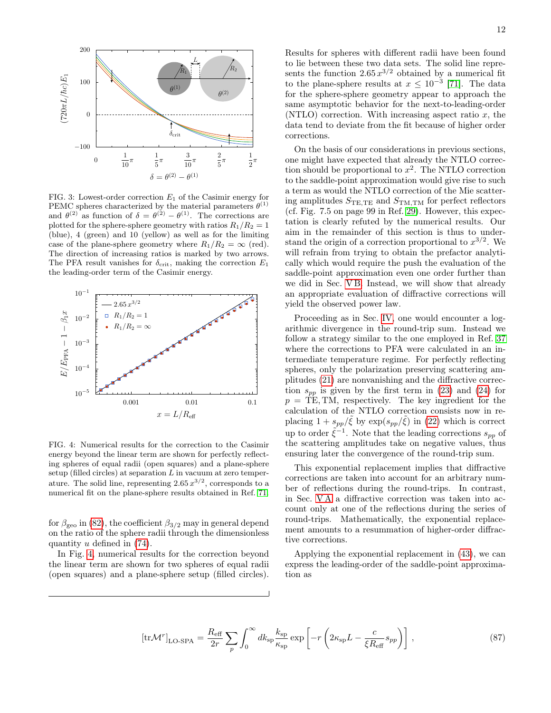

<span id="page-11-0"></span>FIG. 3: Lowest-order correction  $E_1$  of the Casimir energy for PEMC spheres characterized by the material parameters  $\theta^{(1)}$ and  $\theta^{(2)}$  as function of  $\delta = \theta^{(2)} - \theta^{(1)}$ . The corrections are plotted for the sphere-sphere geometry with ratios  $R_1/R_2 = 1$ (blue), 4 (green) and 10 (yellow) as well as for the limiting case of the plane-sphere geometry where  $R_1/R_2 = \infty$  (red). The direction of increasing ratios is marked by two arrows. The PFA result vanishes for  $\delta_{\rm crit}$ , making the correction  $E_1$ the leading-order term of the Casimir energy.



<span id="page-11-1"></span>FIG. 4: Numerical results for the correction to the Casimir energy beyond the linear term are shown for perfectly reflecting spheres of equal radii (open squares) and a plane-sphere setup (filled circles) at separation  $L$  in vacuum at zero temperature. The solid line, representing  $2.65 x^{3/2}$ , corresponds to a numerical fit on the plane-sphere results obtained in Ref. [71.](#page-14-23)

for  $\beta_{\text{geo}}$  in [\(82\)](#page-10-10), the coefficient  $\beta_{3/2}$  may in general depend on the ratio of the sphere radii through the dimensionless quantity u defined in [\(74\)](#page-9-6).

In Fig. [4,](#page-11-1) numerical results for the correction beyond the linear term are shown for two spheres of equal radii (open squares) and a plane-sphere setup (filled circles).

Results for spheres with different radii have been found to lie between these two data sets. The solid line represents the function  $2.65 x^{3/2}$  obtained by a numerical fit to the plane-sphere results at  $x \leq 10^{-3}$  [\[71\]](#page-14-23). The data for the sphere-sphere geometry appear to approach the same asymptotic behavior for the next-to-leading-order (NTLO) correction. With increasing aspect ratio  $x$ , the data tend to deviate from the fit because of higher order corrections.

On the basis of our considerations in previous sections, one might have expected that already the NTLO correction should be proportional to  $x^2$ . The NTLO correction to the saddle-point approximation would give rise to such a term as would the NTLO correction of the Mie scattering amplitudes  $S_{\text{TE,TE}}$  and  $S_{\text{TM,TM}}$  for perfect reflectors (cf. Fig. 7.5 on page 99 in Ref. [29\)](#page-13-20). However, this expectation is clearly refuted by the numerical results. Our aim in the remainder of this section is thus to understand the origin of a correction proportional to  $x^{3/2}$ . We will refrain from trying to obtain the prefactor analytically which would require the push the evaluation of the saddle-point approximation even one order further than we did in Sec. [V B.](#page-9-0) Instead, we will show that already an appropriate evaluation of diffractive corrections will yield the observed power law.

Proceeding as in Sec. [IV,](#page-5-0) one would encounter a logarithmic divergence in the round-trip sum. Instead we follow a strategy similar to the one employed in Ref. [37](#page-13-27) where the corrections to PFA were calculated in an intermediate temperature regime. For perfectly reflecting spheres, only the polarization preserving scattering amplitudes [\(21\)](#page-4-1) are nonvanishing and the diffractive correction  $s_{pp}$  is given by the first term in [\(23\)](#page-4-6) and [\(24\)](#page-4-7) for  $p = TE, TM$ , respectively. The key ingredient for the calculation of the NTLO correction consists now in replacing  $1 + s_{pp}/\tilde{\xi}$  by  $\exp(s_{pp}/\tilde{\xi})$  in [\(22\)](#page-4-2) which is correct up to order  $\tilde{\xi}^{-1}$ . Note that the leading corrections  $s_{pp}$  of the scattering amplitudes take on negative values, thus ensuring later the convergence of the round-trip sum.

This exponential replacement implies that diffractive corrections are taken into account for an arbitrary number of reflections during the round-trips. In contrast, in Sec. [V A](#page-8-1) a diffractive correction was taken into account only at one of the reflections during the series of round-trips. Mathematically, the exponential replacement amounts to a resummation of higher-order diffractive corrections.

Applying the exponential replacement in [\(43\)](#page-6-5), we can express the leading-order of the saddle-point approximation as

<span id="page-11-2"></span>
$$
\left[\text{tr}\mathcal{M}^r\right]_{\text{LO-SPA}} = \frac{R_{\text{eff}}}{2r} \sum_p \int_0^\infty dk_{\text{sp}} \frac{k_{\text{sp}}}{\kappa_{\text{sp}}} \exp\left[-r\left(2\kappa_{\text{sp}}L - \frac{c}{\xi R_{\text{eff}}} s_{pp}\right)\right],\tag{87}
$$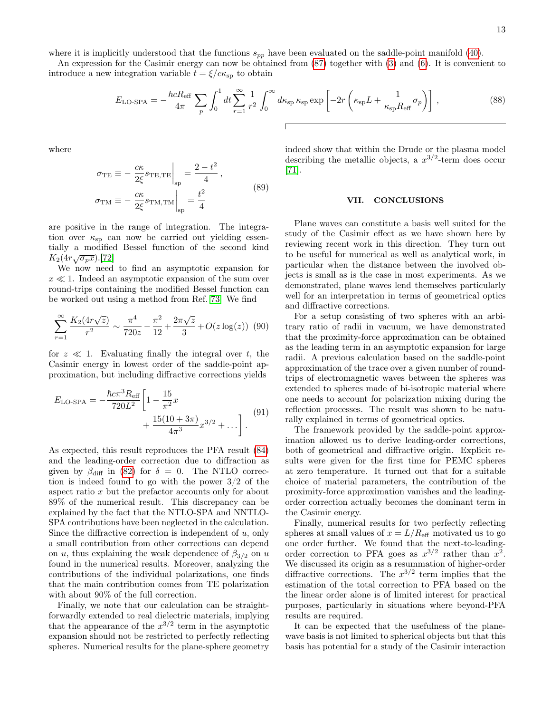where it is implicitly understood that the functions  $s_{pp}$  have been evaluated on the saddle-point manifold [\(40\)](#page-6-2).

An expression for the Casimir energy can now be obtained from [\(87\)](#page-11-2) together with [\(3\)](#page-1-5) and [\(6\)](#page-1-3). It is convenient to introduce a new integration variable  $t = \xi/c\kappa_{sp}$  to obtain

$$
E_{\text{LO-SPA}} = -\frac{\hbar c R_{\text{eff}}}{4\pi} \sum_{p} \int_{0}^{1} dt \sum_{r=1}^{\infty} \frac{1}{r^{2}} \int_{0}^{\infty} d\kappa_{\text{sp}} \kappa_{\text{sp}} \exp\left[-2r\left(\kappa_{\text{sp}}L + \frac{1}{\kappa_{\text{sp}}R_{\text{eff}}}\sigma_{p}\right)\right],\tag{88}
$$

where

$$
\sigma_{\rm TE} \equiv -\frac{c\kappa}{2\xi} s_{\rm TE, TE} \Big|_{\rm sp} = \frac{2 - t^2}{4},
$$
  

$$
\sigma_{\rm TM} \equiv -\frac{c\kappa}{2\xi} s_{\rm TM, TM} \Big|_{\rm sp} = \frac{t^2}{4}
$$
 (89)

are positive in the range of integration. The integration over  $\kappa_{sp}$  can now be carried out yielding essentially a modified Bessel function of the second kind  $K_2(4r\sqrt{\sigma_p x})$ .[\[72\]](#page-14-24)

We now need to find an asymptotic expansion for  $x \ll 1$ . Indeed an asymptotic expansion of the sum over round-trips containing the modified Bessel function can be worked out using a method from Ref. [73.](#page-14-25) We find

$$
\sum_{r=1}^{\infty} \frac{K_2(4r\sqrt{z})}{r^2} \sim \frac{\pi^4}{720z} - \frac{\pi^2}{12} + \frac{2\pi\sqrt{z}}{3} + O(z \log(z)) \tag{90}
$$

for  $z \ll 1$ . Evaluating finally the integral over t, the Casimir energy in lowest order of the saddle-point approximation, but including diffractive corrections yields

$$
E_{\text{LO-SPA}} = -\frac{\hbar c \pi^3 R_{\text{eff}}}{720L^2} \left[ 1 - \frac{15}{\pi^2} x + \frac{15(10 + 3\pi)}{4\pi^3} x^{3/2} + \dots \right].
$$
 (91)

As expected, this result reproduces the PFA result [\(84\)](#page-10-5) and the leading-order correction due to diffraction as given by  $\beta_{\text{diff}}$  in [\(82\)](#page-10-10) for  $\delta = 0$ . The NTLO correction is indeed found to go with the power 3/2 of the aspect ratio x but the prefactor accounts only for about 89% of the numerical result. This discrepancy can be explained by the fact that the NTLO-SPA and NNTLO-SPA contributions have been neglected in the calculation. Since the diffractive correction is independent of  $u$ , only a small contribution from other corrections can depend on u, thus explaining the weak dependence of  $\beta_{3/2}$  on u found in the numerical results. Moreover, analyzing the contributions of the individual polarizations, one finds that the main contribution comes from TE polarization with about 90% of the full correction.

Finally, we note that our calculation can be straightforwardly extended to real dielectric materials, implying that the appearance of the  $x^{3/2}$  term in the asymptotic expansion should not be restricted to perfectly reflecting spheres. Numerical results for the plane-sphere geometry

indeed show that within the Drude or the plasma model describing the metallic objects, a  $x^{3/2}$ -term does occur [\[71\]](#page-14-23).

### <span id="page-12-0"></span>VII. CONCLUSIONS

Plane waves can constitute a basis well suited for the study of the Casimir effect as we have shown here by reviewing recent work in this direction. They turn out to be useful for numerical as well as analytical work, in particular when the distance between the involved objects is small as is the case in most experiments. As we demonstrated, plane waves lend themselves particularly well for an interpretation in terms of geometrical optics and diffractive corrections.

For a setup consisting of two spheres with an arbitrary ratio of radii in vacuum, we have demonstrated that the proximity-force approximation can be obtained as the leading term in an asymptotic expansion for large radii. A previous calculation based on the saddle-point approximation of the trace over a given number of roundtrips of electromagnetic waves between the spheres was extended to spheres made of bi-isotropic material where one needs to account for polarization mixing during the reflection processes. The result was shown to be naturally explained in terms of geometrical optics.

The framework provided by the saddle-point approximation allowed us to derive leading-order corrections, both of geometrical and diffractive origin. Explicit results were given for the first time for PEMC spheres at zero temperature. It turned out that for a suitable choice of material parameters, the contribution of the proximity-force approximation vanishes and the leadingorder correction actually becomes the dominant term in the Casimir energy.

Finally, numerical results for two perfectly reflecting spheres at small values of  $x = L/R<sub>eff</sub>$  motivated us to go one order further. We found that the next-to-leadingorder correction to PFA goes as  $x^{3/2}$  rather than  $x^2$ . We discussed its origin as a resummation of higher-order diffractive corrections. The  $x^{3/2}$  term implies that the estimation of the total correction to PFA based on the the linear order alone is of limited interest for practical purposes, particularly in situations where beyond-PFA results are required.

It can be expected that the usefulness of the planewave basis is not limited to spherical objects but that this basis has potential for a study of the Casimir interaction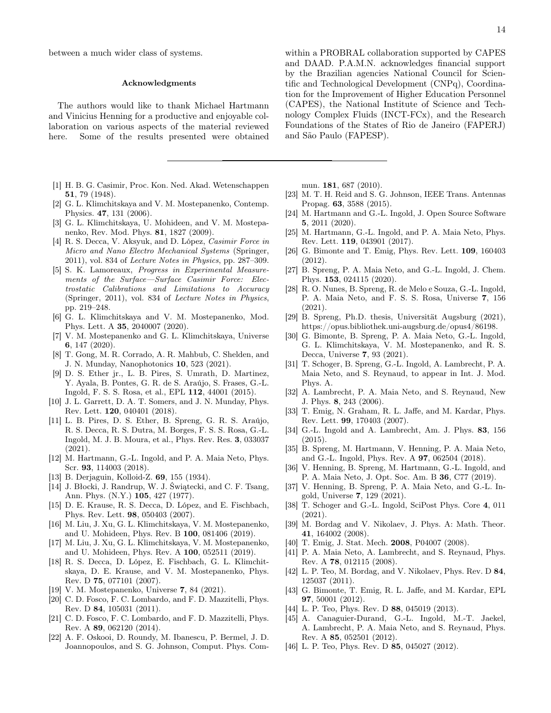between a much wider class of systems.

# Acknowledgments

The authors would like to thank Michael Hartmann and Vinicius Henning for a productive and enjoyable collaboration on various aspects of the material reviewed here. Some of the results presented were obtained

- <span id="page-13-0"></span>[1] H. B. G. Casimir, Proc. Kon. Ned. Akad. Wetenschappen 51, 79 (1948).
- <span id="page-13-1"></span>[2] G. L. Klimchitskaya and V. M. Mostepanenko, Contemp. Physics. 47, 131 (2006).
- [3] G. L. Klimchitskaya, U. Mohideen, and V. M. Mostepanenko, Rev. Mod. Phys. 81, 1827 (2009).
- [4] R. S. Decca, V. Aksyuk, and D. López, *Casimir Force in* Micro and Nano Electro Mechanical Systems (Springer, 2011), vol. 834 of Lecture Notes in Physics, pp. 287–309.
- [5] S. K. Lamoreaux, Progress in Experimental Measurements of the Surface—Surface Casimir Force: Electrostatic Calibrations and Limitations to Accuracy (Springer, 2011), vol. 834 of Lecture Notes in Physics, pp. 219–248.
- [6] G. L. Klimchitskaya and V. M. Mostepanenko, Mod. Phys. Lett. A 35, 2040007 (2020).
- [7] V. M. Mostepanenko and G. L. Klimchitskaya, Universe 6, 147 (2020).
- <span id="page-13-2"></span>[8] T. Gong, M. R. Corrado, A. R. Mahbub, C. Shelden, and J. N. Munday, Nanophotonics 10, 523 (2021).
- <span id="page-13-3"></span>[9] D. S. Ether jr., L. B. Pires, S. Umrath, D. Martinez, Y. Ayala, B. Pontes, G. R. de S. Araújo, S. Frases, G.-L. Ingold, F. S. S. Rosa, et al., EPL 112, 44001 (2015).
- [10] J. L. Garrett, D. A. T. Somers, and J. N. Munday, Phys. Rev. Lett. 120, 040401 (2018).
- <span id="page-13-4"></span>[11] L. B. Pires, D. S. Ether, B. Spreng, G. R. S. Araújo, R. S. Decca, R. S. Dutra, M. Borges, F. S. S. Rosa, G.-L. Ingold, M. J. B. Moura, et al., Phys. Rev. Res. 3, 033037 (2021).
- <span id="page-13-5"></span>[12] M. Hartmann, G.-L. Ingold, and P. A. Maia Neto, Phys. Scr. 93, 114003 (2018).
- <span id="page-13-6"></span>[13] B. Derjaguin, Kolloid-Z. 69, 155 (1934).
- <span id="page-13-7"></span>[14] J. Błocki, J. Randrup, W. J. Świątecki, and C. F. Tsang, Ann. Phys. (N.Y.) 105, 427 (1977).
- <span id="page-13-8"></span>[15] D. E. Krause, R. S. Decca, D. López, and E. Fischbach, Phys. Rev. Lett. 98, 050403 (2007).
- [16] M. Liu, J. Xu, G. L. Klimchitskaya, V. M. Mostepanenko, and U. Mohideen, Phys. Rev. B 100, 081406 (2019).
- <span id="page-13-9"></span>[17] M. Liu, J. Xu, G. L. Klimchitskaya, V. M. Mostepanenko, and U. Mohideen, Phys. Rev. A 100, 052511 (2019).
- <span id="page-13-10"></span>[18] R. S. Decca, D. López, E. Fischbach, G. L. Klimchitskaya, D. E. Krause, and V. M. Mostepanenko, Phys. Rev. D 75, 077101 (2007).
- <span id="page-13-11"></span>[19] V. M. Mostepanenko, Universe 7, 84 (2021).
- <span id="page-13-12"></span>[20] C. D. Fosco, F. C. Lombardo, and F. D. Mazzitelli, Phys. Rev. D 84, 105031 (2011).
- <span id="page-13-13"></span>[21] C. D. Fosco, F. C. Lombardo, and F. D. Mazzitelli, Phys. Rev. A 89, 062120 (2014).
- <span id="page-13-14"></span>[22] A. F. Oskooi, D. Roundy, M. Ibanescu, P. Bermel, J. D. Joannopoulos, and S. G. Johnson, Comput. Phys. Com-

within a PROBRAL collaboration supported by CAPES and DAAD. P.A.M.N. acknowledges financial support by the Brazilian agencies National Council for Scientific and Technological Development (CNPq), Coordination for the Improvement of Higher Education Personnel (CAPES), the National Institute of Science and Technology Complex Fluids (INCT-FCx), and the Research Foundations of the States of Rio de Janeiro (FAPERJ) and São Paulo (FAPESP).

mun. 181, 687 (2010).

- <span id="page-13-15"></span>[23] M. T. H. Reid and S. G. Johnson, IEEE Trans. Antennas Propag. 63, 3588 (2015).
- <span id="page-13-16"></span>[24] M. Hartmann and G.-L. Ingold, J. Open Source Software 5, 2011 (2020).
- <span id="page-13-17"></span>[25] M. Hartmann, G.-L. Ingold, and P. A. Maia Neto, Phys. Rev. Lett. 119, 043901 (2017).
- <span id="page-13-18"></span>[26] G. Bimonte and T. Emig, Phys. Rev. Lett. 109, 160403 (2012).
- <span id="page-13-19"></span>[27] B. Spreng, P. A. Maia Neto, and G.-L. Ingold, J. Chem. Phys. 153, 024115 (2020).
- [28] R. O. Nunes, B. Spreng, R. de Melo e Souza, G.-L. Ingold, P. A. Maia Neto, and F. S. S. Rosa, Universe 7, 156 (2021).
- <span id="page-13-20"></span>[29] B. Spreng, Ph.D. thesis, Universität Augsburg (2021), https://opus.bibliothek.uni-augsburg.de/opus4/86198.
- <span id="page-13-21"></span>[30] G. Bimonte, B. Spreng, P. A. Maia Neto, G.-L. Ingold, G. L. Klimchitskaya, V. M. Mostepanenko, and R. S. Decca, Universe 7, 93 (2021).
- <span id="page-13-22"></span>[31] T. Schoger, B. Spreng, G.-L. Ingold, A. Lambrecht, P. A. Maia Neto, and S. Reynaud, to appear in Int. J. Mod. Phys. A.
- <span id="page-13-23"></span>[32] A. Lambrecht, P. A. Maia Neto, and S. Reynaud, New J. Phys. 8, 243 (2006).
- [33] T. Emig, N. Graham, R. L. Jaffe, and M. Kardar, Phys. Rev. Lett. 99, 170403 (2007).
- <span id="page-13-24"></span>[34] G.-L. Ingold and A. Lambrecht, Am. J. Phys. 83, 156 (2015).
- <span id="page-13-25"></span>[35] B. Spreng, M. Hartmann, V. Henning, P. A. Maia Neto, and G.-L. Ingold, Phys. Rev. A 97, 062504 (2018).
- <span id="page-13-26"></span>[36] V. Henning, B. Spreng, M. Hartmann, G.-L. Ingold, and P. A. Maia Neto, J. Opt. Soc. Am. B 36, C77 (2019).
- <span id="page-13-27"></span>[37] V. Henning, B. Spreng, P. A. Maia Neto, and G.-L. Ingold, Universe 7, 129 (2021).
- <span id="page-13-28"></span>[38] T. Schoger and G.-L. Ingold, SciPost Phys. Core 4, 011 (2021).
- <span id="page-13-29"></span>[39] M. Bordag and V. Nikolaev, J. Phys. A: Math. Theor. 41, 164002 (2008).
- [40] T. Emig, J. Stat. Mech. 2008, P04007 (2008).
- [41] P. A. Maia Neto, A. Lambrecht, and S. Reynaud, Phys. Rev. A 78, 012115 (2008).
- [42] L. P. Teo, M. Bordag, and V. Nikolaev, Phys. Rev. D 84, 125037 (2011).
- <span id="page-13-33"></span>[43] G. Bimonte, T. Emig, R. L. Jaffe, and M. Kardar, EPL 97, 50001 (2012).
- <span id="page-13-30"></span>[44] L. P. Teo, Phys. Rev. D 88, 045019 (2013).
- <span id="page-13-31"></span>[45] A. Canaguier-Durand, G.-L. Ingold, M.-T. Jaekel, A. Lambrecht, P. A. Maia Neto, and S. Reynaud, Phys. Rev. A 85, 052501 (2012).
- <span id="page-13-32"></span>[46] L. P. Teo, Phys. Rev. D 85, 045027 (2012).